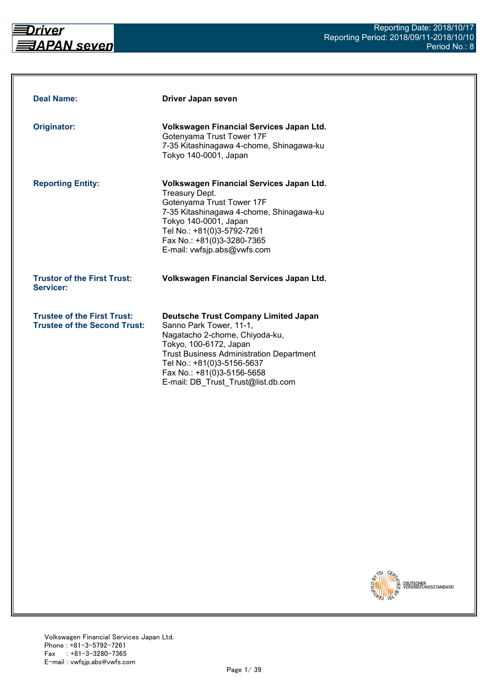

| <b>Deal Name:</b>                                                         | Driver Japan seven                                                                                                                                                                                                                                                                      |
|---------------------------------------------------------------------------|-----------------------------------------------------------------------------------------------------------------------------------------------------------------------------------------------------------------------------------------------------------------------------------------|
| Originator:                                                               | Volkswagen Financial Services Japan Ltd.<br>Gotenyama Trust Tower 17F<br>7-35 Kitashinagawa 4-chome, Shinagawa-ku<br>Tokyo 140-0001, Japan                                                                                                                                              |
| <b>Reporting Entity:</b>                                                  | Volkswagen Financial Services Japan Ltd.<br><b>Treasury Dept.</b><br>Gotenyama Trust Tower 17F<br>7-35 Kitashinagawa 4-chome, Shinagawa-ku<br>Tokyo 140-0001, Japan<br>Tel No.: +81(0)3-5792-7261<br>Fax No.: +81(0)3-3280-7365<br>E-mail: vwfsjp.abs@vwfs.com                          |
| <b>Trustor of the First Trust:</b><br>Servicer:                           | Volkswagen Financial Services Japan Ltd.                                                                                                                                                                                                                                                |
| <b>Trustee of the First Trust:</b><br><b>Trustee of the Second Trust:</b> | <b>Deutsche Trust Company Limited Japan</b><br>Sanno Park Tower, 11-1,<br>Nagatacho 2-chome, Chiyoda-ku,<br>Tokyo, 100-6172, Japan<br><b>Trust Business Administration Department</b><br>Tel No.: +81(0)3-5156-5637<br>Fax No.: +81(0)3-5156-5658<br>E-mail: DB Trust Trust@list.db.com |

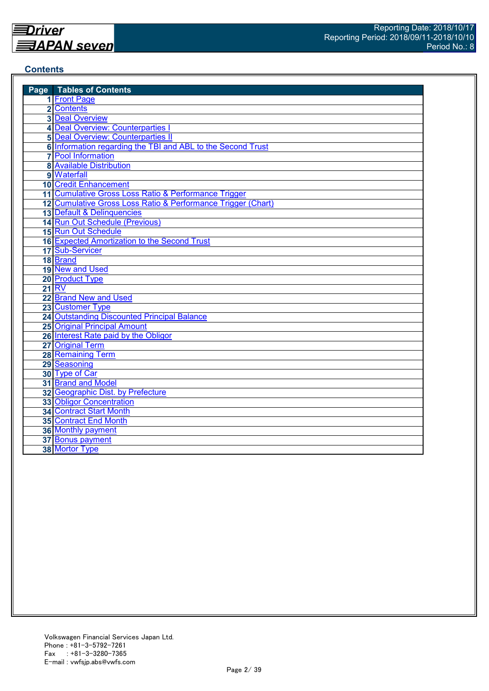#### **Contents**

| <b>Page</b> Tables of Contents                               |
|--------------------------------------------------------------|
| 1 Front Page                                                 |
| 2 Contents                                                   |
| <b>3 Deal Overview</b>                                       |
| 4 Deal Overview: Counterparties I                            |
| <b>5 Deal Overview: Counterparties II</b>                    |
| 6 Information regarding the TBI and ABL to the Second Trust  |
| <b>7</b> Pool Information                                    |
| <b>8 Available Distribution</b>                              |
| 9 Waterfall                                                  |
| <b>10 Credit Enhancement</b>                                 |
| 11 Cumulative Gross Loss Ratio & Performance Trigger         |
| 12 Cumulative Gross Loss Ratio & Performance Trigger (Chart) |
| 13 Default & Delinquencies                                   |
| 14 Run Out Schedule (Previous)                               |
| 15 Run Out Schedule                                          |
| 16 Expected Amortization to the Second Trust                 |
| 17 Sub-Servicer                                              |
| 18 Brand                                                     |
| 19 New and Used                                              |
| 20 Product Type                                              |
| <b>21 RV</b>                                                 |
| 22 Brand New and Used                                        |
| 23 Customer Type                                             |
| 24 Outstanding Discounted Principal Balance                  |
| <b>25 Original Principal Amount</b>                          |
| 26 Interest Rate paid by the Obligor                         |
| 27 Original Term                                             |
| 28 Remaining Term                                            |
| 29 Seasoning                                                 |
| 30 Type of Car                                               |
| 31 Brand and Model                                           |
| 32 Geographic Dist. by Prefecture                            |
| <b>33 Obligor Concentration</b>                              |
| <b>34 Contract Start Month</b>                               |
| <b>35 Contract End Month</b>                                 |
| <b>36 Monthly payment</b>                                    |
| 37 Bonus payment                                             |
| 38 Mortor Type                                               |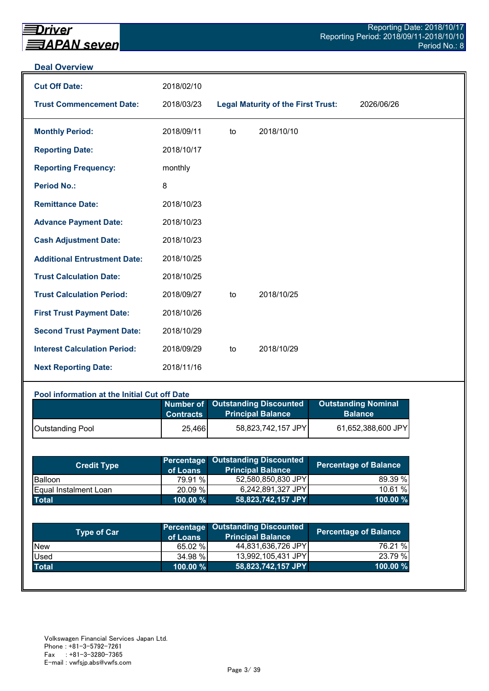#### **Deal Overview**

| <b>Cut Off Date:</b>                | 2018/02/10 |    |                                           |            |
|-------------------------------------|------------|----|-------------------------------------------|------------|
| <b>Trust Commencement Date:</b>     | 2018/03/23 |    | <b>Legal Maturity of the First Trust:</b> | 2026/06/26 |
| <b>Monthly Period:</b>              | 2018/09/11 | to | 2018/10/10                                |            |
| <b>Reporting Date:</b>              | 2018/10/17 |    |                                           |            |
| <b>Reporting Frequency:</b>         | monthly    |    |                                           |            |
| <b>Period No.:</b>                  | 8          |    |                                           |            |
| <b>Remittance Date:</b>             | 2018/10/23 |    |                                           |            |
| <b>Advance Payment Date:</b>        | 2018/10/23 |    |                                           |            |
| <b>Cash Adjustment Date:</b>        | 2018/10/23 |    |                                           |            |
| <b>Additional Entrustment Date:</b> | 2018/10/25 |    |                                           |            |
| <b>Trust Calculation Date:</b>      | 2018/10/25 |    |                                           |            |
| <b>Trust Calculation Period:</b>    | 2018/09/27 | to | 2018/10/25                                |            |
| <b>First Trust Payment Date:</b>    | 2018/10/26 |    |                                           |            |
| <b>Second Trust Payment Date:</b>   | 2018/10/29 |    |                                           |            |
| <b>Interest Calculation Period:</b> | 2018/09/29 | to | 2018/10/29                                |            |
| <b>Next Reporting Date:</b>         | 2018/11/16 |    |                                           |            |

#### **Pool information at the Initial Cut off Date**

|                         | <b>Contracts</b> | Number of Outstanding Discounted<br><b>Principal Balance</b> | <b>Outstanding Nominal</b><br><b>Balance</b> |
|-------------------------|------------------|--------------------------------------------------------------|----------------------------------------------|
| <b>Outstanding Pool</b> | 25,466           | 58,823,742,157 JPY                                           | 61,652,388,600 JPY                           |

| <b>Credit Type</b>            | of Loans    | <b>Percentage Outstanding Discounted</b><br><b>Principal Balance</b> | <b>Percentage of Balance</b> |
|-------------------------------|-------------|----------------------------------------------------------------------|------------------------------|
| <b>Balloon</b>                | 79.91 %     | 52,580,850,830 JPY                                                   | 89.39 %                      |
| <b>IEqual Instalment Loan</b> | 20.09 %     | 6,242,891,327 JPY                                                    | 10.61%                       |
| <b>Total</b>                  | $100.00 \%$ | 58,823,742,157 JPY                                                   | $100.00 \%$                  |

| <b>Type of Car</b> | of Loans    | <b>Percentage Outstanding Discounted</b><br><b>Principal Balance</b> | <b>Percentage of Balance</b> |
|--------------------|-------------|----------------------------------------------------------------------|------------------------------|
| <b>New</b>         | 65.02 %     | 44,831,636,726 JPY                                                   | 76.21 %                      |
| Used               | 34.98 %     | 13,992,105,431 JPY                                                   | 23.79 %                      |
| <b>Total</b>       | $100.00 \%$ | 58,823,742,157 JPY                                                   | 100.00 %                     |
|                    |             |                                                                      |                              |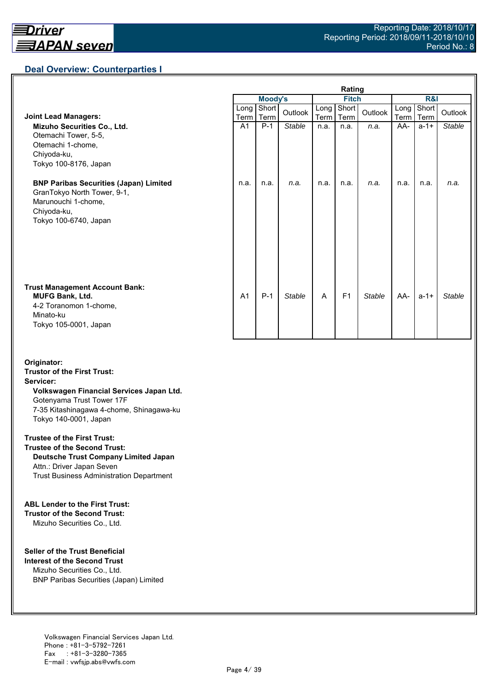## **Deal Overview: Counterparties I**

|                                                                                                                                             | Rating         |               |               |              |                |               |                     |               |               |
|---------------------------------------------------------------------------------------------------------------------------------------------|----------------|---------------|---------------|--------------|----------------|---------------|---------------------|---------------|---------------|
|                                                                                                                                             |                | Moody's       |               | <b>Fitch</b> |                |               | R&I                 |               |               |
| <b>Joint Lead Managers:</b>                                                                                                                 | Long<br>Term   | Short<br>Term | Outlook       | Long<br>Term | Short<br>Term  | Outlook       | Long<br><b>Term</b> | Short<br>Term | Outlook       |
| Mizuho Securities Co., Ltd.<br>Otemachi Tower, 5-5,<br>Otemachi 1-chome,<br>Chiyoda-ku,<br>Tokyo 100-8176, Japan                            | A <sub>1</sub> | $P-1$         | Stable        | n.a.         | n.a.           | n.a.          | AA-                 | $a - 1 +$     | <b>Stable</b> |
| <b>BNP Paribas Securities (Japan) Limited</b><br>GranTokyo North Tower, 9-1,<br>Marunouchi 1-chome,<br>Chiyoda-ku,<br>Tokyo 100-6740, Japan | n.a.           | n.a.          | n.a.          | n.a.         | n.a.           | n.a.          | n.a.                | n.a.          | n.a.          |
| <b>Trust Management Account Bank:</b><br><b>MUFG Bank, Ltd.</b><br>4-2 Toranomon 1-chome,<br>Minato-ku<br>Tokyo 105-0001, Japan             | A <sub>1</sub> | $P-1$         | <b>Stable</b> | A            | F <sub>1</sub> | <b>Stable</b> | AA-                 | $a - 1 +$     | Stable        |

#### **Originator: Trustor of the First Trust: Servicer: Volkswagen Financial Services Japan Ltd.** Gotenyama Trust Tower 17F 7-35 Kitashinagawa 4-chome, Shinagawa-ku Tokyo 140-0001, Japan

#### **Trustee of the First Trust:**

**Trustee of the Second Trust: Deutsche Trust Company Limited Japan** Attn.: Driver Japan Seven Trust Business Administration Department

#### **ABL Lender to the First Trust:**

**Trustor of the Second Trust:** Mizuho Securities Co., Ltd.

#### **Seller of the Trust Beneficial**

**Interest of the Second Trust** Mizuho Securities Co., Ltd. BNP Paribas Securities (Japan) Limited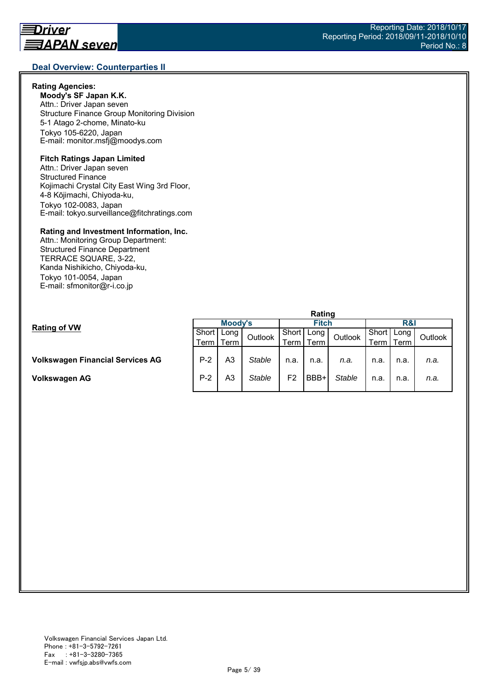### **Rating Agencies:**

**Moody's SF Japan K.K.** Attn.: Driver Japan seven Structure Finance Group Monitoring Division 5-1 Atago 2-chome, Minato-ku Tokyo 105-6220, Japan E-mail: monitor.msfj@moodys.com

## **Fitch Ratings Japan Limited**

Attn.: Driver Japan seven Structured Finance Kojimachi Crystal City East Wing 3rd Floor, 4-8 Kōjimachi, Chiyoda-ku, Tokyo 102-0083, Japan E-mail: tokyo.surveillance@fitchratings.com

#### **Rating and Investment Information, Inc.**

Attn.: Monitoring Group Department: Structured Finance Department TERRACE SQUARE, 3-22, Kanda Nishikicho, Chiyoda-ku, Tokyo 101-0054, Japan E-mail: sfmonitor@r-i.co.jp

|                                         | naung   |           |               |                |      |               |       |      |         |  |
|-----------------------------------------|---------|-----------|---------------|----------------|------|---------------|-------|------|---------|--|
|                                         | Moody's |           |               | <b>Fitch</b>   |      |               | R&I   |      |         |  |
| <b>Rating of VW</b>                     | Short   | Long      | Outlook       | Short I        | Long | Outlook       | Short | Long | Outlook |  |
|                                         |         | Term Term |               | Term           | Term |               | ⊺erm  | Term |         |  |
|                                         |         |           |               |                |      |               |       |      |         |  |
| <b>Volkswagen Financial Services AG</b> | $P-2$   | A3        | Stable        | n.a.           | n.a. | n.a.          | n.a.  | n.a. | n.a.    |  |
| Volkswagen AG                           | $P-2$   | A3        | <b>Stable</b> | F <sub>2</sub> | BBB+ | <b>Stable</b> | n.a.  | n.a. | n.a.    |  |
|                                         |         |           |               |                |      |               |       |      |         |  |

**Rating**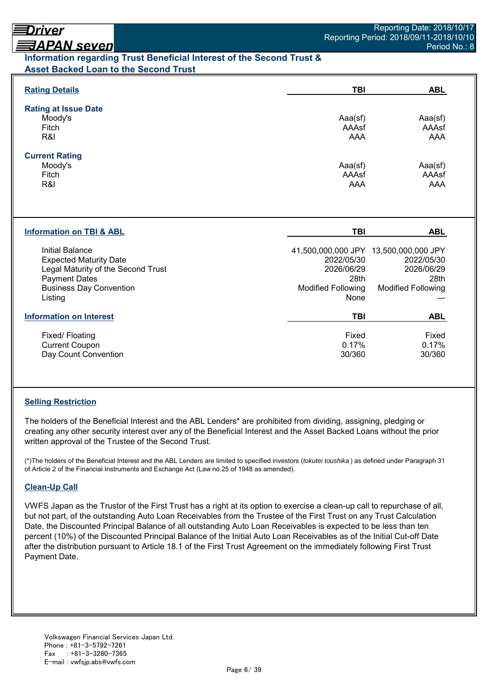## <u> ヨAPAN seven</u>

### **Information regarding Trust Beneficial Interest of the Second Trust & Asset Backed Loan to the Second Trust**

| <b>Rating Details</b>                                                                                                                                              | TBI                                                                   | <b>ABL</b>                                                                                             |
|--------------------------------------------------------------------------------------------------------------------------------------------------------------------|-----------------------------------------------------------------------|--------------------------------------------------------------------------------------------------------|
| <b>Rating at Issue Date</b><br>Moody's<br>Fitch<br>R&I                                                                                                             | Aaa(sf)<br>AAAsf<br>AAA                                               | Aaa(sf)<br>AAAsf<br>AAA                                                                                |
| <b>Current Rating</b><br>Moody's<br>Fitch<br>R&I                                                                                                                   | Aaa(sf)<br>AAAsf<br><b>AAA</b>                                        | Aaa(sf)<br>AAAsf<br>AAA                                                                                |
| <b>Information on TBI &amp; ABL</b>                                                                                                                                | <b>TBI</b>                                                            | <b>ABL</b>                                                                                             |
| <b>Initial Balance</b><br><b>Expected Maturity Date</b><br>Legal Maturity of the Second Trust<br><b>Payment Dates</b><br><b>Business Day Convention</b><br>Listing | 2022/05/30<br>2026/06/29<br>28th<br><b>Modified Following</b><br>None | 41,500,000,000 JPY 13,500,000,000 JPY<br>2022/05/30<br>2026/06/29<br>28th<br><b>Modified Following</b> |
| <b>Information on Interest</b>                                                                                                                                     | <b>TBI</b>                                                            | <b>ABL</b>                                                                                             |
| Fixed/ Floating<br><b>Current Coupon</b><br>Day Count Convention                                                                                                   | Fixed<br>0.17%<br>30/360                                              | Fixed<br>0.17%<br>30/360                                                                               |

### **Selling Restriction**

The holders of the Beneficial Interest and the ABL Lenders\* are prohibited from dividing, assigning, pledging or creating any other security interest over any of the Beneficial Interest and the Asset Backed Loans without the prior written approval of the Trustee of the Second Trust.

(\*)The holders of the Beneficial Interest and the ABL Lenders are limited to specified investors (*tokutei toushika* ) as defined under Paragraph 31 of Article 2 of the Financial Instruments and Exchange Act (Law no.25 of 1948 as amended).

### **Clean-Up Call**

VWFS Japan as the Trustor of the First Trust has a right at its option to exercise a clean-up call to repurchase of all, but not part, of the outstanding Auto Loan Receivables from the Trustee of the First Trust on any Trust Calculation Date, the Discounted Principal Balance of all outstanding Auto Loan Receivables is expected to be less than ten percent (10%) of the Discounted Principal Balance of the Initial Auto Loan Receivables as of the Initial Cut-off Date after the distribution pursuant to Article 18.1 of the First Trust Agreement on the immediately following First Trust Payment Date.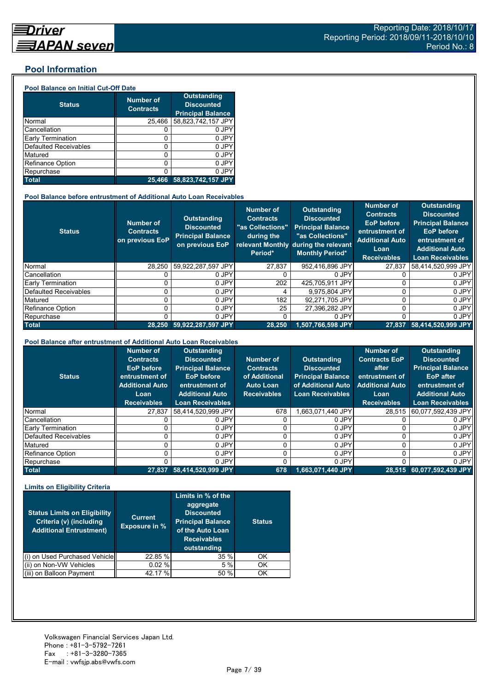#### **Pool Information**

#### **Pool Balance on Initial Cut-Off Date**

| <b>Status</b>                | <b>Number of</b><br><b>Contracts</b> | <b>Outstanding</b><br><b>Discounted</b><br><b>Principal Balance</b> |
|------------------------------|--------------------------------------|---------------------------------------------------------------------|
| Normal                       | 25,466                               | 58,823,742,157 JPY                                                  |
| Cancellation                 |                                      | 0 JPY                                                               |
| Early Termination            | 0                                    | 0 JPY                                                               |
| <b>Defaulted Receivables</b> | 0                                    | 0 JPY                                                               |
| Matured                      | ი                                    | 0 JPY                                                               |
| <b>Refinance Option</b>      | 0                                    | 0 JPY                                                               |
| Repurchase                   |                                      | 0 JPY                                                               |
| <b>Total</b>                 | 25.466                               | 58,823,742,157 JPY                                                  |

#### **Pool Balance before entrustment of Additional Auto Loan Receivables**

| <b>Status</b>            | Number of<br><b>Contracts</b><br>on previous EoP | <b>Outstanding</b><br><b>Discounted</b><br><b>Principal Balance</b><br>on previous EoP | Number of<br><b>Contracts</b><br>"as Collections"<br>during the<br>Period* | Outstanding<br><b>Discounted</b><br><b>Principal Balance</b><br>"as Collections"<br>relevant Monthly during the relevant<br><b>Monthly Period*</b> | <b>Number of</b><br><b>Contracts</b><br><b>EoP</b> before<br>entrustment of<br><b>Additional Auto</b><br>Loan<br><b>Receivables</b> | <b>Outstanding</b><br><b>Discounted</b><br><b>Principal Balance</b><br><b>EoP</b> before<br>entrustment of<br><b>Additional Auto</b><br>Loan Receivables |
|--------------------------|--------------------------------------------------|----------------------------------------------------------------------------------------|----------------------------------------------------------------------------|----------------------------------------------------------------------------------------------------------------------------------------------------|-------------------------------------------------------------------------------------------------------------------------------------|----------------------------------------------------------------------------------------------------------------------------------------------------------|
| Normal                   | 28,250                                           | 59,922,287,597 JPY                                                                     | 27,837                                                                     | 952,416,896 JPY                                                                                                                                    | 27.837                                                                                                                              | 58,414,520,999 JPY                                                                                                                                       |
| Cancellation             |                                                  | 0 JPY                                                                                  |                                                                            | 0 JPY                                                                                                                                              |                                                                                                                                     | 0 JPY                                                                                                                                                    |
| <b>Early Termination</b> |                                                  | 0 JPY                                                                                  | 202                                                                        | 425.705.911 JPY                                                                                                                                    |                                                                                                                                     | 0 JPY                                                                                                                                                    |
| Defaulted Receivables    |                                                  | 0 JPY                                                                                  | 4                                                                          | 9.975.804 JPY                                                                                                                                      | 0                                                                                                                                   | 0 JPY                                                                                                                                                    |
| Matured                  |                                                  | 0 JPY                                                                                  | 182                                                                        | 92.271.705 JPY                                                                                                                                     | 0                                                                                                                                   | 0 JPY                                                                                                                                                    |
| <b>Refinance Option</b>  | 0                                                | 0 JPY                                                                                  | 25                                                                         | 27.396.282 JPY                                                                                                                                     | 0                                                                                                                                   | 0 JPY                                                                                                                                                    |
| Repurchase               |                                                  | 0 JPY                                                                                  | 0                                                                          | 0 JPY                                                                                                                                              | 0                                                                                                                                   | 0 JPY                                                                                                                                                    |
| <b>Total</b>             | 28.250                                           | 59,922,287,597 JPY                                                                     | 28.250                                                                     | 1,507,766,598 JPY                                                                                                                                  | 27.837                                                                                                                              | 58,414,520,999 JPY                                                                                                                                       |

#### **Pool Balance after entrustment of Additional Auto Loan Receivables**

| <b>Status</b>            | <b>Number of</b><br><b>Contracts</b><br><b>EoP</b> before<br>entrustment of<br><b>Additional Auto</b><br>Loan<br><b>Receivables</b> | <b>Outstanding</b><br><b>Discounted</b><br><b>Principal Balance</b><br>EoP before<br>entrustment of<br><b>Additional Auto</b><br><b>Loan Receivables</b> | Number of<br><b>Contracts</b><br>of Additional<br><b>Auto Loan</b><br><b>Receivables</b> | Outstanding<br><b>Discounted</b><br><b>Principal Balance</b><br>of Additional Auto<br><b>Loan Receivables</b> | <b>Number of</b><br><b>Contracts EoP</b><br>after<br>entrustment of<br><b>Additional Auto</b><br>Loan<br><b>Receivables</b> | <b>Outstanding</b><br><b>Discounted</b><br><b>Principal Balance</b><br><b>EoP</b> after<br>entrustment of<br><b>Additional Auto</b><br><b>Loan Receivables</b> |
|--------------------------|-------------------------------------------------------------------------------------------------------------------------------------|----------------------------------------------------------------------------------------------------------------------------------------------------------|------------------------------------------------------------------------------------------|---------------------------------------------------------------------------------------------------------------|-----------------------------------------------------------------------------------------------------------------------------|----------------------------------------------------------------------------------------------------------------------------------------------------------------|
| Normal                   | 27,837                                                                                                                              | 58.414.520.999 JPY                                                                                                                                       | 678                                                                                      | .663.071.440 JPY                                                                                              | 28.515                                                                                                                      | 60,077,592,439 JPY                                                                                                                                             |
| Cancellation             |                                                                                                                                     | 0 JPY                                                                                                                                                    |                                                                                          | 0 JPY                                                                                                         |                                                                                                                             | 0 JPY                                                                                                                                                          |
| <b>Early Termination</b> |                                                                                                                                     | 0 JPY                                                                                                                                                    |                                                                                          | 0 JPY                                                                                                         |                                                                                                                             | 0 JPY                                                                                                                                                          |
| Defaulted Receivables    |                                                                                                                                     | 0 JPY                                                                                                                                                    |                                                                                          | 0 JPY                                                                                                         |                                                                                                                             | 0 JPY                                                                                                                                                          |
| Matured                  |                                                                                                                                     | 0 JPY                                                                                                                                                    |                                                                                          | 0 JPY                                                                                                         |                                                                                                                             | 0 JPY                                                                                                                                                          |
| Refinance Option         |                                                                                                                                     | 0 JPY                                                                                                                                                    |                                                                                          | 0 JPY                                                                                                         |                                                                                                                             | 0 JPY                                                                                                                                                          |
| Repurchase               |                                                                                                                                     | 0 JPY                                                                                                                                                    |                                                                                          | 0 JPY                                                                                                         |                                                                                                                             | 0 JPY                                                                                                                                                          |
| <b>Total</b>             | 27,837                                                                                                                              | 58,414,520,999 JPY                                                                                                                                       | 678                                                                                      | 1,663,071,440 JPY                                                                                             |                                                                                                                             | 28,515 60,077,592,439 JPY                                                                                                                                      |

#### **Limits on Eligibility Criteria**

| <b>Status Limits on Eligibility</b><br>Criteria (v) (including<br><b>Additional Entrustment)</b> | <b>Current</b><br><b>Exposure in %</b> | Limits in % of the<br>aggregate<br><b>Discounted</b><br><b>Principal Balance</b><br>of the Auto Loan<br><b>Receivables</b><br>outstanding | <b>Status</b> |
|--------------------------------------------------------------------------------------------------|----------------------------------------|-------------------------------------------------------------------------------------------------------------------------------------------|---------------|
| on Used Purchased Vehicle                                                                        | 22.85 %                                | 35 %                                                                                                                                      | OK            |
| on Non-VW Vehicles                                                                               | 0.02%                                  | 5%                                                                                                                                        | OK            |
| on Balloon Payment                                                                               | 42.17 %                                | 50 %                                                                                                                                      | ΟK            |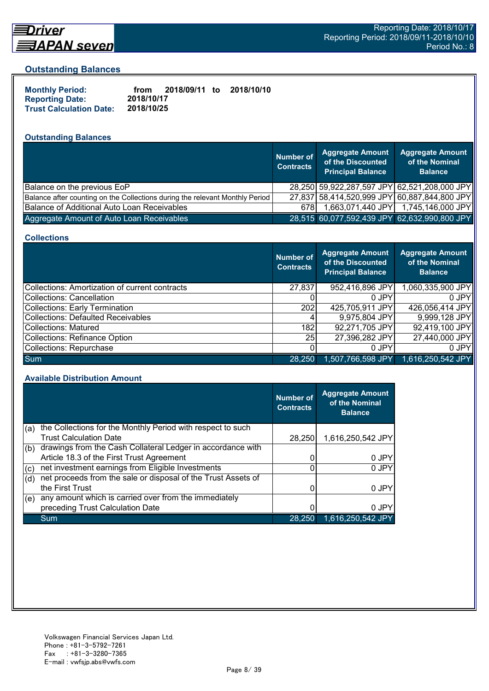

## Driver

### **Outstanding Balances**

| <b>Monthly Period:</b>         | from       | 2018/09/11 to | 2018/10/10 |
|--------------------------------|------------|---------------|------------|
| <b>Reporting Date:</b>         | 2018/10/17 |               |            |
| <b>Trust Calculation Date:</b> | 2018/10/25 |               |            |

## **Outstanding Balances**

|                                                                              | Number of<br><b>Contracts</b> | <b>Aggregate Amount</b><br>of the Discounted<br><b>Principal Balance</b> | <b>Aggregate Amount</b><br>of the Nominal<br><b>Balance</b> |
|------------------------------------------------------------------------------|-------------------------------|--------------------------------------------------------------------------|-------------------------------------------------------------|
| Balance on the previous EoP                                                  |                               |                                                                          | 28,250 59,922,287,597 JPY 62,521,208,000 JPY                |
| Balance after counting on the Collections during the relevant Monthly Period |                               |                                                                          | 27,837 58,414,520,999 JPY 60,887,844,800 JPY                |
| Balance of Additional Auto Loan Receivables                                  | 678I                          |                                                                          | 1,663,071,440 JPY 1,745,146,000 JPY                         |
| Aggregate Amount of Auto Loan Receivables                                    |                               |                                                                          | 28,515 60,077,592,439 JPY 62,632,990,800 JPY                |

#### **Collections**

|                                                | <b>Number of</b><br><b>Contracts</b> | <b>Aggregate Amount</b><br>of the Discounted<br><b>Principal Balance</b> | <b>Aggregate Amount</b><br>of the Nominal<br><b>Balance</b> |
|------------------------------------------------|--------------------------------------|--------------------------------------------------------------------------|-------------------------------------------------------------|
| Collections: Amortization of current contracts | 27,837                               | 952,416,896 JPY                                                          | 1,060,335,900 JPY                                           |
| Collections: Cancellation                      |                                      | 0 JPY                                                                    | 0 JPY                                                       |
| <b>Collections: Early Termination</b>          | 202                                  | 425,705,911 JPY                                                          | 426,056,414 JPY                                             |
| <b>Collections: Defaulted Receivables</b>      |                                      | 9,975,804 JPY                                                            | 9,999,128 JPY                                               |
| <b>Collections: Matured</b>                    | 182                                  | 92,271,705 JPY                                                           | 92,419,100 JPY                                              |
| <b>Collections: Refinance Option</b>           | 25 <sub>l</sub>                      | 27,396,282 JPY                                                           | 27,440,000 JPY                                              |
| Collections: Repurchase                        |                                      | 0 JPY                                                                    | 0 JPY                                                       |
| <b>Sum</b>                                     | 28,250                               | 1,507,766,598 JPY                                                        | 1,616,250,542 JPY                                           |

#### **Available Distribution Amount**

|     |                                                               | <b>Number of</b><br><b>Contracts</b> | <b>Aggregate Amount</b><br>of the Nominal<br><b>Balance</b> |
|-----|---------------------------------------------------------------|--------------------------------------|-------------------------------------------------------------|
| (a) | the Collections for the Monthly Period with respect to such   |                                      |                                                             |
|     | <b>Trust Calculation Date</b>                                 | 28,250                               | 1,616,250,542 JPY                                           |
| (b) | drawings from the Cash Collateral Ledger in accordance with   |                                      |                                                             |
|     | Article 18.3 of the First Trust Agreement                     |                                      | 0 JPY                                                       |
| (c) | net investment earnings from Eligible Investments             | ი                                    | 0 JPY                                                       |
| (d) | net proceeds from the sale or disposal of the Trust Assets of |                                      |                                                             |
|     | the First Trust                                               |                                      | 0 JPY                                                       |
| (e) | any amount which is carried over from the immediately         |                                      |                                                             |
|     | preceding Trust Calculation Date                              |                                      | 0 JPY                                                       |
|     | Sum                                                           | 28,250                               | 1,616,250,542 JPY                                           |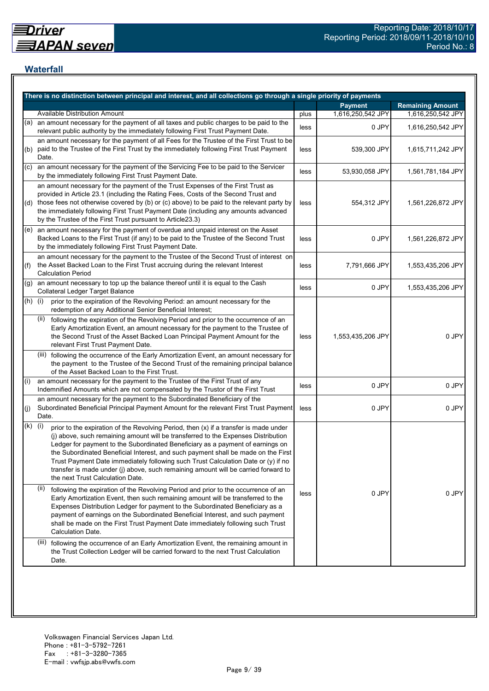## **Waterfall**

|           | There is no distinction between principal and interest, and all collections go through a single priority of payments                                                                                                                                                                                                                                                                                                                                                                                                                                                    |      |                   |                         |
|-----------|-------------------------------------------------------------------------------------------------------------------------------------------------------------------------------------------------------------------------------------------------------------------------------------------------------------------------------------------------------------------------------------------------------------------------------------------------------------------------------------------------------------------------------------------------------------------------|------|-------------------|-------------------------|
|           |                                                                                                                                                                                                                                                                                                                                                                                                                                                                                                                                                                         |      | <b>Payment</b>    | <b>Remaining Amount</b> |
|           | <b>Available Distribution Amount</b>                                                                                                                                                                                                                                                                                                                                                                                                                                                                                                                                    | plus | 1,616,250,542 JPY | 1,616,250,542 JPY       |
| (a)       | an amount necessary for the payment of all taxes and public charges to be paid to the<br>relevant public authority by the immediately following First Trust Payment Date.                                                                                                                                                                                                                                                                                                                                                                                               | less | 0 JPY             | 1,616,250,542 JPY       |
| (b)       | an amount necessary for the payment of all Fees for the Trustee of the First Trust to be<br>paid to the Trustee of the First Trust by the immediately following First Trust Payment<br>Date.                                                                                                                                                                                                                                                                                                                                                                            | less | 539,300 JPY       | 1,615,711,242 JPY       |
| (C)       | an amount necessary for the payment of the Servicing Fee to be paid to the Servicer<br>by the immediately following First Trust Payment Date.                                                                                                                                                                                                                                                                                                                                                                                                                           | less | 53,930,058 JPY    | 1,561,781,184 JPY       |
|           | an amount necessary for the payment of the Trust Expenses of the First Trust as<br>provided in Article 23.1 (including the Rating Fees, Costs of the Second Trust and<br>(d) those fees not otherwise covered by (b) or (c) above) to be paid to the relevant party by<br>the immediately following First Trust Payment Date (including any amounts advanced<br>by the Trustee of the First Trust pursuant to Article23.3)                                                                                                                                              | less | 554,312 JPY       | 1,561,226,872 JPY       |
|           | $(e)$ an amount necessary for the payment of overdue and unpaid interest on the Asset<br>Backed Loans to the First Trust (if any) to be paid to the Trustee of the Second Trust<br>by the immediately following First Trust Payment Date.                                                                                                                                                                                                                                                                                                                               | less | 0 JPY             | 1,561,226,872 JPY       |
| (f)       | an amount necessary for the payment to the Trustee of the Second Trust of interest on<br>the Asset Backed Loan to the First Trust accruing during the relevant Interest<br><b>Calculation Period</b>                                                                                                                                                                                                                                                                                                                                                                    | less | 7,791,666 JPY     | 1,553,435,206 JPY       |
| (g)       | an amount necessary to top up the balance thereof until it is equal to the Cash<br><b>Collateral Ledger Target Balance</b>                                                                                                                                                                                                                                                                                                                                                                                                                                              | less | 0 JPY             | 1,553,435,206 JPY       |
| $(h)$ (i) | prior to the expiration of the Revolving Period: an amount necessary for the<br>redemption of any Additional Senior Beneficial Interest;                                                                                                                                                                                                                                                                                                                                                                                                                                |      |                   |                         |
|           | following the expiration of the Revolving Period and prior to the occurrence of an<br>(ii)<br>Early Amortization Event, an amount necessary for the payment to the Trustee of<br>the Second Trust of the Asset Backed Loan Principal Payment Amount for the<br>relevant First Trust Payment Date.                                                                                                                                                                                                                                                                       | less | 1,553,435,206 JPY | 0 JPY                   |
|           | (iii) following the occurrence of the Early Amortization Event, an amount necessary for<br>the payment to the Trustee of the Second Trust of the remaining principal balance<br>of the Asset Backed Loan to the First Trust.                                                                                                                                                                                                                                                                                                                                            |      |                   |                         |
| (i)       | an amount necessary for the payment to the Trustee of the First Trust of any<br>Indemnified Amounts which are not compensated by the Trustor of the First Trust                                                                                                                                                                                                                                                                                                                                                                                                         | less | 0 JPY             | 0 JPY                   |
| (j)       | an amount necessary for the payment to the Subordinated Beneficiary of the<br>Subordinated Beneficial Principal Payment Amount for the relevant First Trust Payment<br>Date.                                                                                                                                                                                                                                                                                                                                                                                            | less | 0 JPY             | 0 JPY                   |
| (k)       | (i)<br>prior to the expiration of the Revolving Period, then (x) if a transfer is made under<br>(j) above, such remaining amount will be transferred to the Expenses Distribution<br>Ledger for payment to the Subordinated Beneficiary as a payment of earnings on<br>the Subordinated Beneficial Interest, and such payment shall be made on the First<br>Trust Payment Date immediately following such Trust Calculation Date or (y) if no<br>transfer is made under (j) above, such remaining amount will be carried forward to<br>the next Trust Calculation Date. |      |                   |                         |
|           | (ii)<br>following the expiration of the Revolving Period and prior to the occurrence of an<br>Early Amortization Event, then such remaining amount will be transferred to the<br>Expenses Distribution Ledger for payment to the Subordinated Beneficiary as a<br>payment of earnings on the Subordinated Beneficial Interest, and such payment<br>shall be made on the First Trust Payment Date immediately following such Trust<br>Calculation Date.                                                                                                                  | less | 0 JPY             | 0 JPY                   |
|           | (iii) following the occurrence of an Early Amortization Event, the remaining amount in<br>the Trust Collection Ledger will be carried forward to the next Trust Calculation<br>Date.                                                                                                                                                                                                                                                                                                                                                                                    |      |                   |                         |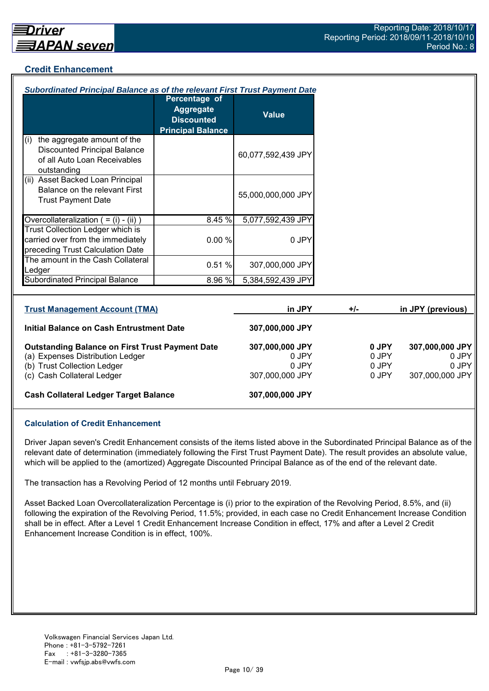## **Credit Enhancement**

| Subordinated Principal Balance as of the relevant First Trust Payment Date                                               |                                                                                    |                          |       |                |                          |
|--------------------------------------------------------------------------------------------------------------------------|------------------------------------------------------------------------------------|--------------------------|-------|----------------|--------------------------|
|                                                                                                                          | Percentage of<br><b>Aggregate</b><br><b>Discounted</b><br><b>Principal Balance</b> | <b>Value</b>             |       |                |                          |
| the aggregate amount of the<br>(i)<br><b>Discounted Principal Balance</b><br>of all Auto Loan Receivables<br>outstanding |                                                                                    | 60,077,592,439 JPY       |       |                |                          |
| (ii) Asset Backed Loan Principal<br>Balance on the relevant First<br><b>Trust Payment Date</b>                           |                                                                                    | 55,000,000,000 JPY       |       |                |                          |
| Overcollateralization $( = (i) - (ii))$                                                                                  | 8.45 %                                                                             | 5,077,592,439 JPY        |       |                |                          |
| Trust Collection Ledger which is<br>carried over from the immediately<br>preceding Trust Calculation Date                | 0.00%                                                                              | 0 JPY                    |       |                |                          |
| The amount in the Cash Collateral<br>Ledger                                                                              | 0.51%                                                                              | 307,000,000 JPY          |       |                |                          |
| Subordinated Principal Balance                                                                                           | 8.96 %                                                                             | 5,384,592,439 JPY        |       |                |                          |
| <b>Trust Management Account (TMA)</b>                                                                                    |                                                                                    | in JPY                   | $+/-$ |                | in JPY (previous)        |
| Initial Balance on Cash Entrustment Date                                                                                 |                                                                                    | 307,000,000 JPY          |       |                |                          |
| <b>Outstanding Balance on First Trust Payment Date</b><br>(a) Expenses Distribution Ledger                               |                                                                                    | 307,000,000 JPY<br>0 JPY |       | 0 JPY<br>0 JPY | 307,000,000 JPY<br>0 JPY |

(b) Trust Collection Ledger 0 JPY 0 JPY 0 JPY 0 JPY 0 JPY (c) Cash Collateral Ledger 307,000,000 JPY 0 JPY 307,000,000 JPY

## **Cash Collateral Ledger Target Balance 307,000,000 JPY**

### **Calculation of Credit Enhancement**

Driver Japan seven's Credit Enhancement consists of the items listed above in the Subordinated Principal Balance as of the relevant date of determination (immediately following the First Trust Payment Date). The result provides an absolute value, which will be applied to the (amortized) Aggregate Discounted Principal Balance as of the end of the relevant date.

The transaction has a Revolving Period of 12 months until February 2019.

Asset Backed Loan Overcollateralization Percentage is (i) prior to the expiration of the Revolving Period, 8.5%, and (ii) following the expiration of the Revolving Period, 11.5%; provided, in each case no Credit Enhancement Increase Condition shall be in effect. After a Level 1 Credit Enhancement Increase Condition in effect, 17% and after a Level 2 Credit Enhancement Increase Condition is in effect, 100%.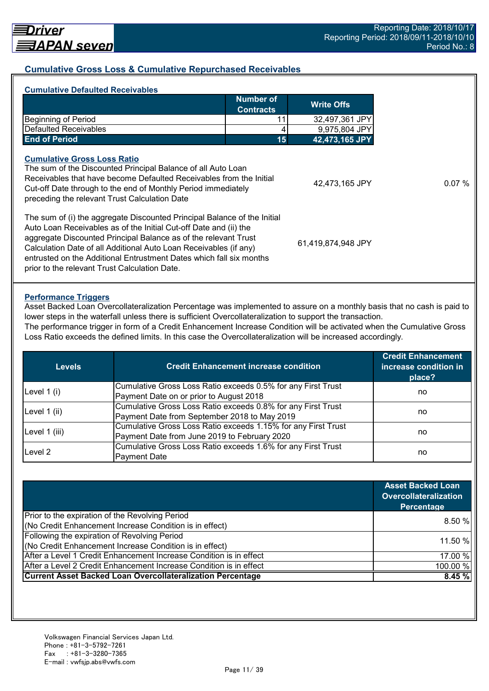### **Cumulative Gross Loss & Cumulative Repurchased Receivables**

| <b>Cumulative Defaulted Receivables</b>                                                                                                                                                                                                                                               |                                      |                    |
|---------------------------------------------------------------------------------------------------------------------------------------------------------------------------------------------------------------------------------------------------------------------------------------|--------------------------------------|--------------------|
|                                                                                                                                                                                                                                                                                       | <b>Number of</b><br><b>Contracts</b> | <b>Write Offs</b>  |
| <b>Beginning of Period</b>                                                                                                                                                                                                                                                            |                                      | 32,497,361 JPY     |
| <b>Defaulted Receivables</b>                                                                                                                                                                                                                                                          |                                      | 9,975,804 JPY      |
| <b>End of Period</b>                                                                                                                                                                                                                                                                  | 15                                   | 42,473,165 JPY     |
| The sum of the Discounted Principal Balance of all Auto Loan<br>Receivables that have become Defaulted Receivables from the Initial<br>Cut-off Date through to the end of Monthly Period immediately<br>preceding the relevant Trust Calculation Date                                 |                                      | 42,473,165 JPY     |
| The sum of (i) the aggregate Discounted Principal Balance of the Initial<br>Auto Loan Receivables as of the Initial Cut-off Date and (ii) the<br>aggregate Discounted Principal Balance as of the relevant Trust<br>Calculation Date of all Additional Auto Loan Receivables (if any) |                                      | 61,419,874,948 JPY |

#### **Performance Triggers**

Asset Backed Loan Overcollateralization Percentage was implemented to assure on a monthly basis that no cash is paid to lower steps in the waterfall unless there is sufficient Overcollateralization to support the transaction.

The performance trigger in form of a Credit Enhancement Increase Condition will be activated when the Cumulative Gross Loss Ratio exceeds the defined limits. In this case the Overcollateralization will be increased accordingly.

| <b>Levels</b> | <b>Credit Enhancement increase condition</b>                  | <b>Credit Enhancement</b><br>increase condition in<br>place? |  |
|---------------|---------------------------------------------------------------|--------------------------------------------------------------|--|
| Level $1(i)$  | Cumulative Gross Loss Ratio exceeds 0.5% for any First Trust  |                                                              |  |
|               | Payment Date on or prior to August 2018                       | no                                                           |  |
|               | Cumulative Gross Loss Ratio exceeds 0.8% for any First Trust  |                                                              |  |
| Level 1 (ii)  | Payment Date from September 2018 to May 2019                  | no                                                           |  |
|               | Cumulative Gross Loss Ratio exceeds 1.15% for any First Trust |                                                              |  |
| Level 1 (iii) | Payment Date from June 2019 to February 2020                  | no                                                           |  |
| Level 2       | Cumulative Gross Loss Ratio exceeds 1.6% for any First Trust  |                                                              |  |
|               | <b>Payment Date</b>                                           | no                                                           |  |

|                                                                    | <b>Asset Backed Loan</b><br><b>Overcollateralization</b><br>Percentage |
|--------------------------------------------------------------------|------------------------------------------------------------------------|
| Prior to the expiration of the Revolving Period                    |                                                                        |
| (No Credit Enhancement Increase Condition is in effect)            | 8.50%                                                                  |
| Following the expiration of Revolving Period                       | 11.50 %                                                                |
| (No Credit Enhancement Increase Condition is in effect)            |                                                                        |
| After a Level 1 Credit Enhancement Increase Condition is in effect | 17.00 %                                                                |
| After a Level 2 Credit Enhancement Increase Condition is in effect | 100.00 %                                                               |
| <b>Current Asset Backed Loan Overcollateralization Percentage</b>  | 8.45%                                                                  |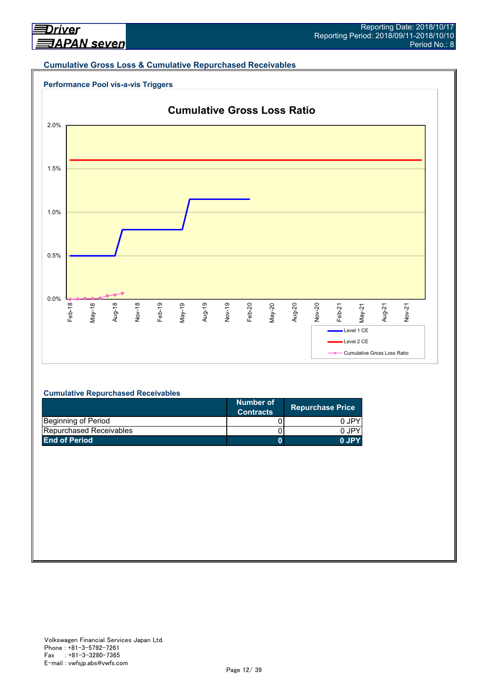#### **Cumulative Gross Loss & Cumulative Repurchased Receivables**





#### **Cumulative Repurchased Receivables**

|                         | Number of<br><b>Contracts</b> | <b>Repurchase Price</b> |
|-------------------------|-------------------------------|-------------------------|
| Beginning of Period     |                               | 0 JPY                   |
| Repurchased Receivables |                               | 0.JPY                   |
| <b>End of Period</b>    |                               | 0.IPY                   |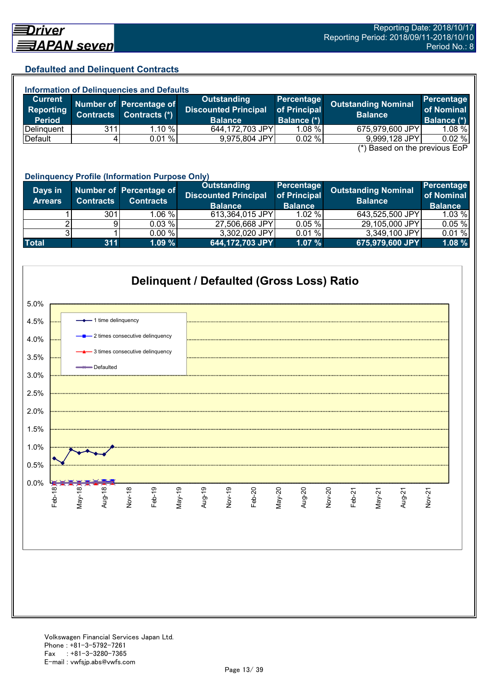### **Defaulted and Delinquent Contracts**

| <b>Information of Delinguencies and Defaults</b> |                  |                                          |                                                              |                                                  |                                                                  |                                         |
|--------------------------------------------------|------------------|------------------------------------------|--------------------------------------------------------------|--------------------------------------------------|------------------------------------------------------------------|-----------------------------------------|
| <b>Current</b><br>Reporting<br><b>Period</b>     | <b>Contracts</b> | Number of Percentage of<br>Contracts (*) | Outstanding<br><b>Discounted Principal</b><br><b>Balance</b> | Percentage<br>of Principal<br><b>Balance (*)</b> | <b>Outstanding Nominal</b><br><b>Balance</b>                     | Percentage<br>of Nominal<br>Balance (*) |
| Delinguent                                       | 311              | $1.10 \%$                                | 644,172,703 JPY                                              | $1.08 \%$                                        | 675,979,600 JPY                                                  | $1.08 \%$                               |
| Default                                          |                  | 0.01%                                    | 9,975,804 JPY                                                | 0.02%                                            | 9,999,128 JPY                                                    | 0.02%                                   |
|                                                  |                  |                                          |                                                              |                                                  | $\left( \star \right)$ Desail and the nucliplical $\Gamma_{2}$ D |                                         |

(\*) Based on the previous EoP

|                           | <b>Delinquency Profile (Information Purpose Only)</b> |                                             |                                                                     |                                              |                                              |                                            |  |
|---------------------------|-------------------------------------------------------|---------------------------------------------|---------------------------------------------------------------------|----------------------------------------------|----------------------------------------------|--------------------------------------------|--|
| Days in<br><b>Arrears</b> | <b>Contracts</b>                                      | Number of Percentage of<br><b>Contracts</b> | <b>Outstanding</b><br><b>Discounted Principal</b><br><b>Balance</b> | Percentage<br>of Principal<br><b>Balance</b> | <b>Outstanding Nominal</b><br><b>Balance</b> | Percentage<br>of Nominal<br><b>Balance</b> |  |
|                           | 301                                                   | 1.06 %                                      | 613,364,015 JPY                                                     | $1.02 \%$                                    | 643,525,500 JPY                              | 1.03 %                                     |  |
|                           |                                                       | 0.03 %                                      | 27,506,668 JPY                                                      | 0.05%                                        | 29,105,000 JPY                               | 0.05%                                      |  |
|                           |                                                       | 0.00 %                                      | 3,302,020 JPY                                                       | 0.01%                                        | 3,349,100 JPY                                | 0.01%                                      |  |
| <b>Total</b>              | 311                                                   | 1.09%                                       | 644,172,703 JPY                                                     | 1.07%                                        | 675,979,600 JPY                              | 1.08 %                                     |  |

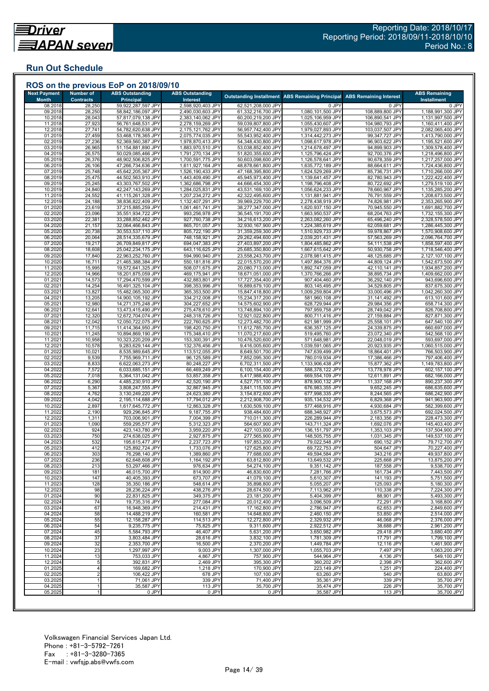## **Run Out Schedule**

| <b>Next Payment</b><br><b>Month</b> | <b>Number of</b><br><b>Contracts</b> | <b>ABS Outstanding</b><br><b>Principal</b> | <b>ABS Outstanding</b><br>Interest     |                                          | <b>Outstanding Installment ABS Remaining Principal</b> | <b>ABS Remaining Interest</b>    | <b>ABS Remaining</b><br><b>Installment</b> |
|-------------------------------------|--------------------------------------|--------------------------------------------|----------------------------------------|------------------------------------------|--------------------------------------------------------|----------------------------------|--------------------------------------------|
| 08.2018                             | 28,250                               | 59,922,287,597 JPY                         | 2,598,920,403 JPY                      | 62,521,208,000 JPY                       | 0 JPY                                                  | 0 JPY                            | 0 JPY                                      |
| 09.2018                             | 28,250                               | 58,842,186,097 JPY                         | 2,490,030,603 JPY                      | 61,332,216,700 JPY                       | 1,080,101,500 JPY                                      | 108,889,800 JPY                  | 1,188,991,300 JPY                          |
| 10.2018                             | 28,043                               | 57,817,079,138 JPY                         | 2,383,140,062 JPY                      | 60,200,219,200 JPY                       | 1,025,106,959 JPY                                      | 106,890,541 JPY                  | 1,131,997,500 JPY                          |
| 11.2018                             | 27,923                               | 56,761,648,531 JPY                         | 2,278,159,269 JPY                      | 59,039,807,800 JPY                       | 1,055,430,607 JPY                                      | 104,980,793 JPY                  | 1,160,411,400 JPY                          |
| 12.2018                             | 27,741                               | 54,782,620,638 JPY                         | 2,175,121,762 JPY                      | 56,957,742,400 JPY                       | 1,979,027,893 JPY                                      | 103,037,507 JPY                  | 2,082,065,400 JPY                          |
| 01.2019<br>02.2019                  | 27,459<br>27,236                     | 53,468,178,365 JPY<br>52,369,560,387 JPY   | 2,075,774,035 JPY<br>1,978,870,413 JPY | 55,543,952,400 JPY<br>54,348,430,800 JPY | 1,314,442,273 JPY<br>1,098,617,978 JPY                 | 99,347,727 JPY<br>96,903,622 JPY | 1,413,790,000 JPY<br>1,195,521,600 JPY     |
| 03.2019                             | 26,965                               | 51,154,881,890 JPY                         | 1,883,970,510 JPY                      | 53,038,852,400 JPY                       | 1,214,678,497 JPY                                      | 94,899,903 JPY                   | 1,309,578,400 JPY                          |
| 04.2019                             | 26,575                               | 50,029,085,466 JPY                         | 1,791,270,134 JPY                      | 51,820,355,600 JPY                       | 1,125,796,424 JPY                                      | 92,700,376 JPY                   | 1,218,496,800 JPY                          |
| 05.2019                             | 26,376                               | 48,902,506,825 JPY                         | 1,700,591,775 JPY                      | 50,603,098,600 JPY                       | 1,126,578,641 JPY                                      | 90,678,359 JPY                   | 1,217,257,000 JPY                          |
| 06.2019                             | 26,106                               | 47,266,734,636 JPY                         | 1,611,927,164 JPY                      | 48,878,661,800 JPY                       | 1,635,772,189 JPY                                      | 88,664,611 JPY                   | 1,724,436,800 JPY                          |
| 07.2019                             | 25,748                               | 45,642,205,367 JPY                         | 1,526,190,433 JPY                      | 47,168,395,800 JPY                       | 1,624,529,269 JPY                                      | 85,736,731 JPY                   | 1,710,266,000 JPY                          |
| 08.2019                             | 25,475                               | 44,502,563,910 JPY                         | 1,443,409,490 JPY                      | 45,945,973,400 JPY                       | 1,139,641,457 JPY                                      | 82,780,943 JPY                   | 1,222,422,400 JPY                          |
| 09.2019<br>10.2019                  | 25,245<br>24,840                     | 43,303,767,502 JPY<br>42,247,143,269 JPY   | 1,362,686,798 JPY<br>1,284,025,831 JPY | 44,666,454,300 JPY<br>43,531,169,100 JPY | 1,198,796,408 JPY<br>1,056,624,233 JPY                 | 80,722,692 JPY<br>78,660,967 JPY | 1,279,519,100 JPY<br>1,135,285,200 JPY     |
| 11.2019                             | 24,552                               | 41,115,261,328 JPY                         | 1,207,234,272 JPY                      | 42,322,495,600 JPY                       | 1,131,881,941 JPY                                      | 76,791,559 JPY                   | 1,208,673,500 JPY                          |
| 12.2019                             | 24,188                               | 38,836,822,409 JPY                         | 1,132,407,291 JPY                      | 39,969,229,700 JPY                       | 2,278,438,919 JPY                                      | 74,826,981 JPY                   | 2,353,265,900 JPY                          |
| 01.2020                             | 23,619                               | 37,215,885,259 JPY                         | 1,061,461,741 JPY                      | 38,277,347,000 JPY                       | 1,620,937,150 JPY                                      | 70,945,550 JPY                   | 1,691,882,700 JPY                          |
| 02.2020                             | 23,096                               | 35,551,934,722 JPY                         | 993,256,978 JPY                        | 36,545,191,700 JPY                       | 1,663,950,537 JPY                                      | 68,204,763 JPY                   | 1,732,155,300 JPY                          |
| 03.2020                             | 22,381                               | 33,288,852,462 JPY                         | 927,760,738 JPY                        | 34,216,613,200 JPY                       | 2,263,082,260 JPY                                      | 65,496,240 JPY                   | 2,328,578,500 JPY                          |
| 04.2020                             | 21,157                               | 32,064,466,843 JPY                         | 865,701,057 JPY                        | 32,930,167,900 JPY                       | 1,224,385,619 JPY                                      | 62,059,681 JPY                   | 1,286,445,300 JPY                          |
| 05.2020                             | 20,738                               | 30,553,537,110 JPY                         | 805,722,190 JPY                        | 31,359,259,300 JPY                       | 1,510,929,733 JPY                                      | 59,978,867 JPY                   | 1,570,908,600 JPY                          |
| 06.2020<br>07.2020                  | 20,064<br>19,217                     | 28,514,335,679 JPY<br>26,709,849,817 JPY   | 748,158,921 JPY<br>694,047,383 JPY     | 29,262,494,600 JPY<br>27,403,897,200 JPY | 2,039,201,431 JPY<br>1,804,485,862 JPY                 | 57,563,269 JPY<br>54,111,538 JPY | 2,096,764,700 JPY<br>1,858,597,400 JPY     |
| 08.2020                             | 18,608                               | 25,042,234,175 JPY                         | 643,116,625 JPY                        | 25,685,350,800 JPY                       | 1,667,615,642 JPY                                      | 50,930,758 JPY                   | 1,718,546,400 JPY                          |
| 09.2020                             | 17,840                               | 22,963,252,760 JPY                         | 594,990,940 JPY                        | 23,558,243,700 JPY                       | 2,078,981,415 JPY                                      | 48,125,685 JPY                   | 2,127,107,100 JPY                          |
| 10.2020                             | 16,711                               | 21,465,388,384 JPY                         | 550,181,816 JPY                        | 22,015,570,200 JPY                       | 1,497,864,376 JPY                                      | 44,809,124 JPY                   | 1,542,673,500 JPY                          |
| 11.2020                             | 15,995                               | 19,572,641,325 JPY                         | 508,071,675 JPY                        | 20,080,713,000 JPY                       | 1,892,747,059 JPY                                      | 42,110,141 JPY                   | 1,934,857,200 JPY                          |
| 12.2020                             | 14,966                               | 18,201,875,059 JPY                         | 469,175,941 JPY                        | 18,671,051,000 JPY                       | 1,370,766,266 JPY                                      | 38,895,734 JPY                   | 1,409,662,000 JPY                          |
| 01.2021                             | 14,573                               | 17,294,470,599 JPY                         | 432,883,801 JPY                        | 17,727,354,400 JPY                       | 907,404,460 JPY                                        | 36,292,140 JPY                   | 943,696,600 JPY                            |
| 02.2021                             | 14,254<br>13,827                     | 16,491,325,104 JPY                         | 398,353,996 JPY                        | 16,889,679,100 JPY                       | 803,145,495 JPY                                        | 34,529,805 JPY                   | 837,675,300 JPY                            |
| 03.202<br>04.2021                   | 13,205                               | 15,482,065,300 JPY<br>14,900,105,192 JPY   | 365,353,500 JPY<br>334,212,008 JPY     | 15,847,418,800 JPY<br>15,234,317,200 JPY | 1,009,259,804 JPY<br>581,960,108 JPY                   | 33,000,496 JPY<br>31,141,492 JPY | 1,042,260,300 JPY<br>613,101,600 JPY       |
| 05.202'                             | 12,980                               | 14,271,375,248 JPY                         | 304,227,652 JPY                        | 14,575,602,900 JPY                       | 628,729,944 JPY                                        | 29,984,356 JPY                   | 658,714,300 JPY                            |
| 06.202                              | 12,641                               | 13,473,415,490 JPY                         | 275,478,610 JPY                        | 13,748,894,100 JPY                       | 797,959,758 JPY                                        | 28,749,042 JPY                   | 826,708,800 JPY                            |
| 07.202                              | 12,320                               | 12,672,704,074 JPY                         | 248,318,726 JPY                        | 12,921,022,800 JPY                       | 800,711,416 JPY                                        | 27,159,884 JPY                   | 827,871,300 JPY                            |
| 08.2021                             | 12,042                               | 12,050,722,075 JPY                         | 222,760,625 JPY                        | 12,273,482,700 JPY                       | 621,981,999 JPY                                        | 25,558,101 JPY                   | 647,540,100 JPY                            |
| 09.2021                             | 11,715                               | 11,414,364,950 JPY                         | 198,420,750 JPY                        | 11,612,785,700 JPY                       | 636,357,125 JPY                                        | 24,339,875 JPY                   | 660,697,000 JPY                            |
| 10.202<br>11.202                    | 11,245<br>10,958                     | 10,894,869,190 JPY<br>10,323,220,209 JPY   | 175,348,410 JPY<br>153,300,391 JPY     | 11,070,217,600 JPY<br>10,476,520,600 JPY | 519,495,760 JPY<br>571,648,981 JPY                     | 23,072,340 JPY<br>22,048,019 JPY | 542,568,100 JPY<br>593,697,000 JPY         |
| 12.202                              | 10,578                               | 9,283,629,144 JPY                          | 132,376,456 JPY                        | 9,416,005,600 JPY                        | 1,039,591,065 JPY                                      | 20,923,935 JPY                   | 1,060,515,000 JPY                          |
| 01.2022                             | 10,021                               | 8,535,989,645 JPY                          | 113,512,055 JPY                        | 8,649,501,700 JPY                        | 747,639,499 JPY                                        | 18,864,401 JPY                   | 766,503,900 JPY                            |
| 02.2022                             | 9,539                                | 7,755,969,711 JPY                          | 96,125,589 JPY                         | 7,852,095,300 JPY                        | 780,019,934 JPY                                        | 17,386,466 JPY                   | 797,406,400 JPY                            |
| 03.202                              | 8,833                                | 6,622,063,273 JPY                          | 80,248,227 JPY                         | 6,702,311,500 JPY                        | 1,133,906,438 JPY                                      | 15,877,362 JPY                   | 1,149,783,800 JPY                          |
| 04.202                              | 7,572                                | 6,033,685,151 JPY                          | 66,469,249 JPY                         | 6,100,154,400 JPY                        | 588,378,122 JPY                                        | 13,778,978 JPY                   | 602,157,100 JPY                            |
| 05.2022                             | 7,018                                | 5,364,131,042 JPY                          | 53,857,358 JPY                         | 5,417,988,400 JPY                        | 669,554,109 JPY                                        | 12,611,891 JPY                   | 682,166,000 JPY                            |
| 06.2022<br>07.202                   | 6,290                                | 4,485,230,910 JPY<br>3,808,247,555 JPY     | 42,520,190 JPY<br>32,867,945 JPY       | 4,527,751,100 JPY                        | 878,900,132 JPY<br>676,983,355 JPY                     | 11,337,168 JPY<br>9,652,245 JPY  | 890,237,300 JPY<br>686,635,600 JPY         |
| 08.202                              | 5,367<br>4,762                       | 3,130,249,220 JPY                          | 24,623,380 JPY                         | 3,841,115,500 JPY<br>3,154,872,600 JPY   | 677,998,335 JPY                                        | 8,244,565 JPY                    | 686,242,900 JPY                            |
| 09.2022                             | 4,042                                | 2,195,114,688 JPY                          | 17,794,012 JPY                         | 2,212,908,700 JPY                        | 935,134,532 JPY                                        | 6,829,368 JPY                    | 941,963,900 JPY                            |
| 10.2022                             | 2,897                                | 1,617,645,772 JPY                          | 12,863,328 JPY                         | 1,630,509,100 JPY                        | 577,468,916 JPY                                        | 4,930,684 JPY                    | 582,399,600 JPY                            |
| 11.202                              | 2,190                                | 929,296,845 JPY                            | 9,187,755 JPY                          | 938,484,600 JPY                          | 688,348,927 JPY                                        | 3,675,573 JPY                    | 692,024,500 JPY                            |
| 12.202                              | 1,311                                | 703,006,901 JPY                            | 7,004,399 JPY                          | 710,011,300 JPY                          | 226,289,944 JPY                                        | 2,183,356 JPY                    | 228,473,300 JPY                            |
| 01.2023                             | 1,090                                | 559,295,577 JPY                            | 5,312,323 JPY                          | 564,607,900 JPY                          | 143,711,324 JPY                                        | 1,692,076 JPY                    | 145,403,400 JPY                            |
| 02.2023                             | 924                                  | 423,143,780 JPY                            | 3,959,220 JPY                          | 427,103,000 JPY                          | 136,151,797 JPY<br>148,505,755 JPY                     | 1,353,103 JPY                    | 137,504,900 JPY<br>149.537.100 JPY         |
| 03.2023<br>04.2023                  | 750<br>532                           | 274,638,025 JPY<br>195,615,477 JPY         | 2,927,875 JPY<br>2,237,723 JPY         | 277,565,900 JPY<br>197,853,200 JPY       | 79,022,548 JPY                                         | 1,031,345 JPY<br>690,152 JPY     | 79,712,700 JPY                             |
| 05.2023                             | 412                                  | 125,892,724 JPY                            | 1,733,076 JPY                          | 127,625,800 JPY                          | 69,722,753 JPY                                         | 504,647 JPY                      | 70,227,400 JPY                             |
| 06.2023                             | 303                                  | 76,298,140 JPY                             | 1,389,860 JPY                          | 77,688,000 JPY                           | 49,594,584 JPY                                         | 343,216 JPY                      | 49,937,800 JPY                             |
| 07.2023                             | 236                                  | 62,648,608 JPY                             | 1,164,192 JPY                          | 63,812,800 JPY                           | 13,649,532 JPY                                         | 225,668 JPY                      | 13,875,200 JPY                             |
| 08.2023                             | 213                                  | 53,297,466 JPY                             | 976,634 JPY                            | 54,274,100 JPY                           | 9,351,142 JPY                                          | 187,558 JPY                      | 9,538,700 JPY                              |
| 09.2023                             | 181                                  | 46,015,700 JPY                             | 814,900 JPY                            | 46,830,600 JPY                           | 7,281,766 JPY                                          | 161,734 JPY                      | 7,443,500 JPY                              |
| 10.2023                             | 147                                  | 40,405,393 JPY                             | 673,707 JPY                            | 41,079,100 JPY                           | 5,610,307 JPY                                          | 141,193 JPY                      | 5,751,500 JPY                              |
| 11.2023                             | 128                                  | 35,350,186 JPY                             | 548,614 JPY                            | 35,898,800 JPY                           | 5,055,207 JPY                                          | 125,093 JPY                      | 5,180,300 JPY                              |
| 12.2023<br>01.2024                  | 98<br>90                             | 28,236,224 JPY<br>22,831,825 JPY           | 438,276 JPY<br>349,375 JPY             | 28,674,500 JPY<br>23,181,200 JPY         | 7,113,962 JPY<br>5,404,399 JPY                         | 110,338 JPY<br>88,901 JPY        | 7,224,300 JPY<br>5,493,300 JPY             |
| 02.2024                             | 74                                   | 19,735,316 JPY                             | 277,084 JPY                            | 20,012,400 JPY                           | 3,096,509 JPY                                          | 72,291 JPY                       | 3,168,800 JPY                              |
| 03.2024                             | 67                                   | 16,948,369 JPY                             | 214,431 JPY                            | 17,162,800 JPY                           | 2,786,947 JPY                                          | 62,653 JPY                       | 2,849,600 JPY                              |
| 04.2024                             | 58                                   | 14,488,219 JPY                             | 160,581 JPY                            | 14,648,800 JPY                           | 2,460,150 JPY                                          | 53,850 JPY                       | 2,514,000 JPY                              |
| 05.2024                             | 55                                   | 12,158,287 JPY                             | 114,513 JPY                            | 12,272,800 JPY                           | 2,329,932 JPY                                          | 46,068 JPY                       | 2,376,000 JPY                              |
| 06.2024                             | 54                                   | 9,235,775 JPY                              | 75,825 JPY                             | 9,311,600 JPY                            | 2,922,512 JPY                                          | 38,688 JPY                       | 2,961,200 JPY                              |
| 07.2024                             | 45                                   | 5,584,793 JPY                              | 46.407 JPY                             | 5,631,200 JPY                            | 3,650,982 JPY                                          | 29,418 JPY                       | 3,680,400 JPY                              |
| 08.2024<br>09.2024                  | 37<br>32                             | 3,803,484 JPY<br>2,353,700 JPY             | 28,616 JPY<br>16,500 JPY               | 3,832,100 JPY<br>2,370,200 JPY           | 1,781,309 JPY<br>1,449,784 JPY                         | 17,791 JPY<br>12,116 JPY         | 1,799,100 JPY<br>1,461,900 JPY             |
| 10.2024                             | 23                                   | 1,297,997 JPY                              | 9.003 JPY                              | 1,307,000 JPY                            | 1.055.703 JPY                                          | 7,497 JPY                        | 1,063,200 JPY                              |
| 11.2024                             | 13                                   | 753,033 JPY                                | 4,867 JPY                              | 757,900 JPY                              | 544,964 JPY                                            | 4,136 JPY                        | 549,100 JPY                                |
| 12.2024                             | 5                                    | 392,831 JPY                                | 2,469 JPY                              | 395,300 JPY                              | 360,202 JPY                                            | 2,398 JPY                        | 362,600 JPY                                |
| 01.2025                             | $\overline{4}$                       | 169,682 JPY                                | 1,218 JPY                              | 170,900 JPY                              | 223,149 JPY                                            | 1,251 JPY                        | 224,400 JPY                                |
| 02.2025                             |                                      | 106,422 JPY                                | 678 JPY                                | 107,100 JPY                              | 63,260 JPY                                             | 540 JPY                          | 63,800 JPY                                 |
| 03.2025                             |                                      | 71,061 JPY                                 | 339 JPY                                | 71,400 JPY                               | 35,361 JPY                                             | 339 JPY                          | 35,700 JPY                                 |
| 04.2025                             | 1                                    | 35,587 JPY                                 | 113 JPY                                | 35,700 JPY                               | 35,474 JPY                                             | 226 JPY                          | 35,700 JPY                                 |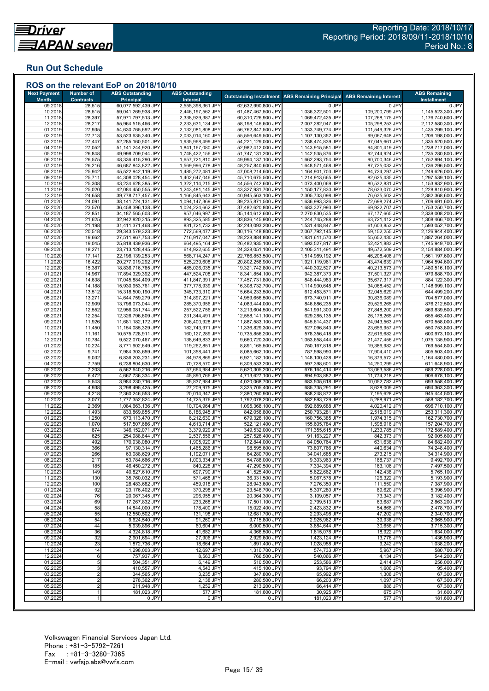## **Run Out Schedule**

| <b>Next Payment</b><br><b>Month</b> | <b>Number of</b><br><b>Contracts</b> | <b>ABS Outstanding</b><br><b>Principal</b> | <b>ABS Outstanding</b><br>Interest     |                                          | <b>Outstanding Installment ABS Remaining Principal</b> | <b>ABS Remaining Interest</b>    | <b>ABS Remaining</b><br><b>Installment</b> |
|-------------------------------------|--------------------------------------|--------------------------------------------|----------------------------------------|------------------------------------------|--------------------------------------------------------|----------------------------------|--------------------------------------------|
| 09.2018                             | 28,515                               | 60,077,592,439 JPY                         | 2,555,398,361 JPY                      | 62,632,990,800 JPY                       | 0 JPY                                                  | 0 JPY                            | 0 JPY                                      |
| 10.2018                             | 28,515                               | 59,041,269,938 JPY                         | 2,446,197,562 JPY                      | 61,487,467,500 JPY                       | 1,036,322,501 JPY                                      | 109,200,799 JPY                  | 1,145,523,300 JPY                          |
| 11.2018                             | 28,397                               | 57,971,797,513 JPY                         | 2,338,929,387 JPY                      | 60,310,726,900 JPY                       | 1,069,472,425 JPY                                      | 107,268,175 JPY                  | 1,176,740,600 JPY                          |
| 12.2018                             | 28,217                               | 55,964,515,466 JPY                         | 2,233,631,134 JPY                      | 58,198,146,600 JPY                       | 2,007,282,047 JPY                                      | 105,298,253 JPY                  | 2,112,580,300 JPY                          |
| 01.2019                             | 27,935                               | 54,630,765,692 JPY                         | 2,132,081,808 JPY                      | 56,762,847,500 JPY                       | 1,333,749,774 JPY                                      | 101,549,326 JPY                  | 1,435,299,100 JPY                          |
| 02.2019<br>03.2019                  | 27,713<br>27,447                     | 53,523,635,340 JPY<br>52,285,160,501 JPY   | 2,033,014,160 JPY<br>1,935,968,499 JPY | 55,556,649,500 JPY<br>54,221,129,000 JPY | 1,107,130,352 JPY<br>1,238,474,839 JPY                 | 99,067,648 JPY<br>97,045,661 JPY | 1,206,198,000 JPY<br>1,335,520,500 JPY     |
| 04.2019                             | 27,052                               | 51,141,244,920 JPY                         | 1,841,167,080 JPY                      | 52,982,412,000 JPY                       | 1,143,915,581 JPY                                      | 94,801,419 JPY                   | 1,238,717,000 JPY                          |
| 05.2019                             | 26,848                               | 49,998,709,044 JPY                         | 1,748,422,156 JPY                      | 51,747,131,200 JPY                       | 1,142,535,876 JPY                                      | 92,744,924 JPY                   | 1,235,280,800 JPY                          |
| 06.2019                             | 26,575                               | 48,336,415,290 JPY                         | 1,657,721,810 JPY                      | 49,994,137,100 JPY                       | 1,662,293,754 JPY                                      | 90,700,346 JPY                   | 1,752,994,100 JPY                          |
| 07.2019                             | 26,216                               | 46,687,843,822 JPY                         | 1,569,996,778 JPY                      | 48,257,840,600 JPY                       | 1,648,571,468 JPY                                      | 87,725,032 JPY                   | 1,736,296,500 JPY                          |
| 08.2019                             | 25,942                               | 45,522,942,119 JPY                         | 1,485,272,481 JPY                      | 47,008,214,600 JPY                       | 1,164,901,703 JPY                                      | 84,724,297 JPY                   | 1,249,626,000 JPY                          |
| 09.2019                             | 25,711                               | 44,308,028,454 JPY                         | 1,402,647,046 JPY                      | 45,710,675,500 JPY                       | 1,214,913,665 JPY                                      | 82,625,435 JPY                   | 1,297,539,100 JPY                          |
| 10.2019<br>11.2019                  | 25,308<br>25,020                     | 43,234,628,385 JPY<br>42,084,450,555 JPY   | 1,322,114,215 JPY<br>1,243,481,145 JPY | 44,556,742,600 JPY<br>43,327,931,700 JPY | 1,073,400,069 JPY<br>1,150,177,830 JPY                 | 80,532,831 JPY<br>78,633,070 JPY | 1,153,932,900 JPY<br>1,228,810,900 JPY     |
| 12.2019                             | 24,658                               | 39,778,717,457 JPY                         | 1,166,845,643 JPY                      | 40,945,563,100 JPY                       | 2,305,733,098 JPY                                      | 76,635,502 JPY                   | 2,382,368,600 JPY                          |
| 01.2020                             | 24,091                               | 38,141,724,131 JPY                         | 1,094,147,369 JPY                      | 39,235,871,500 JPY                       | 1,636,993,326 JPY                                      | 72,698,274 JPY                   | 1,709,691,600 JPY                          |
| 02.2020                             | 23,570                               | 36,458,396,138 JPY                         | 1,024,224,662 JPY                      | 37,482,620,800 JPY                       | 1,683,327,993 JPY                                      | 69,922,707 JPY                   | 1,753,250,700 JPY                          |
| 03.2020                             | 22,851                               | 34,187,565,603 JPY                         | 957,046,997 JPY                        | 35,144,612,600 JPY                       | 2,270,830,535 JPY                                      | 67,177,665 JPY                   | 2,338,008,200 JPY                          |
| 04.2020                             | 21,625                               | 32,942,820,315 JPY                         | 893,325,585 JPY                        | 33,836,145,900 JPY                       | 1,244,745,288 JPY                                      | 63,721,412 JPY                   | 1,308,466,700 JPY                          |
| 05.2020                             | 21,198                               | 31,411,371,468 JPY                         | 831,721,732 JPY                        | 32,243,093,200 JPY                       | 1,531,448,847 JPY                                      | 61,603,853 JPY                   | 1,593,052,700 JPY                          |
| 06.2020                             | 20,518                               | 29,343,579,323 JPY                         | 772,569,477 JPY                        | 30,116,148,800 JPY                       | 2,067,792,145 JPY                                      | 59,152,255 JPY                   | 2,126,944,400 JPY                          |
| 07.2020<br>08.2020                  | 19,662<br>19,045                     | 27,511,967,753 JPY<br>25,818,439,936 JPY   | 716,917,047 JPY<br>664,495,164 JPY     | 28,228,884,800 JPY<br>26,482,935,100 JPY | 1,831,611,570 JPY<br>1,693,527,817 JPY                 | 55,652,430 JPY<br>52,421,883 JPY | 1,887,264,000 JPY<br>1,745,949,700 JPY     |
| 09.2020                             | 18,271                               | 23,713,128,445 JPY                         | 614,922,655 JPY                        | 24,328,051,100 JPY                       | 2,105,311,491 JPY                                      | 49,572,509 JPY                   | 2,154,884,000 JPY                          |
| 10.2020                             | 17,141                               | 22,198,139,253 JPY                         | 568,714,247 JPY                        | 22,766,853,500 JPY                       | 1,514,989,192 JPY                                      | 46,208,408 JPY                   | 1,561,197,600 JPY                          |
| 11.2020                             | 16,422                               | 20,277,019,292 JPY                         | 525,239,608 JPY                        | 20,802,258,900 JPY                       | 1,921,119,961 JPY                                      | 43,474,639 JPY                   | 1,964,594,600 JPY                          |
| 12.2020                             | 15,387                               | 18,836,716,765 JPY                         | 485,026,035 JPY                        | 19,321,742,800 JPY                       | 1,440,302,527 JPY                                      | 40,213,573 JPY                   | 1,480,516,100 JPY                          |
| 01.202                              | 14,967                               | 17,894,329,392 JPY                         | 447,524,708 JPY                        | 18,341,854,100 JPY                       | 942,387,373 JPY                                        | 37,501,327 JPY                   | 979,888,700 JPY                            |
| 02.202'                             | 14,638                               | 17,045,884,409 JPY                         | 411,847,391 JPY                        | 17,457,731,800 JPY                       | 848,444,983 JPY                                        | 35,677,317 JPY                   | 884,122,300 JPY                            |
| 03.2021                             | 14,188<br>13,512                     | 15,930,953,761 JPY<br>15,318,500,190 JPY   | 377,778,939 JPY<br>345,733,310 JPY     | 16,308,732,700 JPY<br>15,664,233,500 JPY | 1,114,930,648 JPY<br>612,453,571 JPY                   | 34,068,452 JPY<br>32,045,629 JPY | 1,148,999,100 JPY<br>644,499,200 JPY       |
| 04.202<br>05.2021                   | 13,271                               | 14,644,759,279 JPY                         | 314,897,221 JPY                        | 14,959,656,500 JPY                       | 673,740,911 JPY                                        | 30,836,089 JPY                   | 704,577,000 JPY                            |
| 06.202                              | 12,909                               | 13,798,073,044 JPY                         | 285,370,956 JPY                        | 14,083,444,000 JPY                       | 846,686,235 JPY                                        | 29,526,265 JPY                   | 876,212,500 JPY                            |
| 07.202                              | 12,552                               | 12,956,081,744 JPY                         | 257,522,756 JPY                        | 13,213,604,500 JPY                       | 841,991,300 JPY                                        | 27,848,200 JPY                   | 869,839,500 JPY                            |
| 08.202                              | 12,254                               | 12,326,796,609 JPY                         | 231,344,491 JPY                        | 12,558,141,100 JPY                       | 629,285,135 JPY                                        | 26,178,265 JPY                   | 655,463,400 JPY                            |
| 09.2021                             | 11,926                               | 11,681,182,172 JPY                         | 206,400,928 JPY                        | 11,887,583,100 JPY                       | 645,614,437 JPY                                        | 24,943,563 JPY                   | 670,558,000 JPY                            |
| 10.2021                             | 11,450                               | 11,154,085,329 JPY                         | 182,743,971 JPY                        | 11,336,829,300 JPY                       | 527,096,843 JPY                                        | 23,656,957 JPY                   | 550,753,800 JPY                            |
| 11.202'                             | 11,161                               | 10,575,728,911 JPY                         | 160,127,289 JPY                        | 10,735,856,200 JPY                       | 578,356,418 JPY                                        | 22,616,682 JPY                   | 600,973,100 JPY                            |
| 12.202                              | 10,784                               | 9,522,070,467 JPY                          | 138,649,833 JPY                        | 9,660,720,300 JPY                        | 1,053,658,444 JPY                                      | 21,477,456 JPY                   | 1,075,135,900 JPY                          |
| 01.2022<br>02.2022                  | 10,224<br>9,741                      | 8,771,902,649 JPY<br>7,984,303,659 JPY     | 119,262,851 JPY<br>101,358,441 JPY     | 8,891,165,500 JPY<br>8,085,662,100 JPY   | 750,167,818 JPY<br>787,598,990 JPY                     | 19,386,982 JPY<br>17,904,410 JPY | 769,554,800 JPY<br>805,503,400 JPY         |
| 03.202                              | 9,032                                | 6,836,203,231 JPY                          | 84,978,869 JPY                         | 6,921,182,100 JPY                        | 1,148,100,428 JPY                                      | 16,379,572 JPY                   | 1,164,480,000 JPY                          |
| 04.202                              | 7,759                                | 6,238,804,630 JPY                          | 70,728,570 JPY                         | 6,309,533,200 JPY                        | 597,398,601 JPY                                        | 14,250,299 JPY                   | 611,648,900 JPY                            |
| 05.202                              | 7,203                                | 5,562,640,216 JPY                          | 57,664,984 JPY                         | 5,620,305,200 JPY                        | 676,164,414 JPY                                        | 13,063,586 JPY                   | 689,228,000 JPY                            |
| 06.2022                             | 6,472                                | 4,667,736,334 JPY                          | 45,890,766 JPY                         | 4,713,627,100 JPY                        | 894,903,882 JPY                                        | 11,774,218 JPY                   | 906,678,100 JPY                            |
| 07.2022                             | 5,543                                | 3,984,230,716 JPY                          | 35,837,984 JPY                         | 4,020,068,700 JPY                        | 683,505,618 JPY                                        | 10,052,782 JPY                   | 693,558,400 JPY                            |
| 08.202<br>09.202                    | 4,938<br>4,218                       | 3,298,495,425 JPY                          | 27,209,975 JPY                         | 3,325,705,400 JPY<br>2,380,260,900 JPY   | 685,735,291 JPY<br>938,248,872 JPY                     | 8,628,009 JPY                    | 694,363,300 JPY<br>945,444,500 JPY         |
| 10.2022                             | 3,077                                | 2,360,246,553 JPY<br>1,777,352,824 JPY     | 20,014,347 JPY<br>14,725,376 JPY       | 1,792,078,200 JPY                        | 582,893,729 JPY                                        | 7,195,628 JPY<br>5,288,971 JPY   | 588,182,700 JPY                            |
| 11.2022                             | 2,369                                | 1,084,663,136 JPY                          | 10,704,964 JPY                         | 1,095,368,100 JPY                        | 692,689,688 JPY                                        | 4,020,412 JPY                    | 696,710,100 JPY                            |
| 12.202                              | 1,493                                | 833,869,855 JPY                            | 8,186,945 JPY                          | 842,056,800 JPY                          | 250,793,281 JPY                                        | 2,518,019 JPY                    | 253,311,300 JPY                            |
| 01.202                              | 1,250                                | 673,113,470 JPY                            | 6,212,630 JPY                          | 679,326,100 JPY                          | 160,756,385 JPY                                        | 1,974,315 JPY                    | 162,730,700 JPY                            |
| 02.2023                             | 1,070                                | 517,507,686 JPY                            | 4,613,714 JPY                          | 522,121,400 JPY                          | 155,605,784 JPY                                        | 1,598,916 JPY                    | 157,204,700 JPY                            |
| 03.2023                             | 874                                  | 346,152,071 JPY                            | 3,379,929 JPY                          | 349,532,000 JPY                          | 171,355,615 JPY                                        | 1,233,785 JPY                    | 172,589,400 JPY                            |
| 04.2023                             | 625                                  | 254,988,844 JPY                            | 2,537,556 JPY                          | 257,526,400 JPY                          | 91,163,227 JPY                                         | 842.373 JPY                      | 92,005,600 JPY                             |
| 05.2023<br>06.2023                  | 492<br>366                           | 170,938,080 JPY<br>97,130,314 JPY          | 1,905,920 JPY<br>1,465,286 JPY         | 172,844,000 JPY<br>98,595,600 JPY        | 84,050,764 JPY<br>73,807,766 JPY                       | 631,636 JPY<br>440.634 JPY       | 84,682,400 JPY<br>74,248,400 JPY           |
| 07.2023                             | 266                                  | 63,088,629 JPY                             | 1,192,071 JPY                          | 64,280,700 JPY                           | 34,041,685 JPY                                         | 273,215 JPY                      | 34,314,900 JPY                             |
| 08.2023                             | 217                                  | 53,784,666 JPY                             | 1,003,334 JPY                          | 54,788,000 JPY                           | 9,303,963 JPY                                          | 188,737 JPY                      | 9,492,700 JPY                              |
| 09.2023                             | 185                                  | 46,450,272 JPY                             | 840,228 JPY                            | 47,290,500 JPY                           | 7,334,394 JPY                                          | 163,106 JPY                      | 7,497,500 JPY                              |
| 10.2023                             | 149                                  | 40,827,610 JPY                             | 697,790 JPY                            | 41,525,400 JPY                           | 5,622,662 JPY                                          | 142,438 JPY                      | 5,765,100 JPY                              |
| 11.2023                             | 130                                  | 35,760,032 JPY                             | 571,468 JPY                            | 36,331,500 JPY                           | 5,067,578 JPY                                          | 126,322 JPY                      | 5,193,900 JPY                              |
| 12.2023                             | 100                                  | 28,483,682 JPY                             | 459,918 JPY                            | 28,943,600 JPY                           | 7,276,350 JPY                                          | 111,550 JPY                      | 7,387,900 JPY                              |
| 01.2024                             | 92                                   | 23,176,402 JPY                             | 370,298 JPY                            | 23.546.700 JPY                           | 5,307,280 JPY                                          | 89,620 JPY                       | 5,396,900 JPY                              |
| 02.2024<br>03.2024                  | 76<br>69                             | 20,067,345 JPY<br>17,267,832 JPY           | 296,955 JPY<br>233,268 JPY             | 20,364,300 JPY<br>17.501.100 JPY         | 3,109,057 JPY<br>2,799,513 JPY                         | 73,343 JPY<br>63,687 JPY         | 3,182,400 JPY<br>2,863,200 JPY             |
| 04.2024                             | 58                                   | 14,844,000 JPY                             | 178,400 JPY                            | 15,022,400 JPY                           | 2,423,832 JPY                                          | 54,868 JPY                       | 2,478,700 JPY                              |
| 05.2024                             | 55                                   | 12,550,502 JPY                             | 131,198 JPY                            | 12,681,700 JPY                           | 2,293,498 JPY                                          | 47,202 JPY                       | 2,340,700 JPY                              |
| 06.2024                             | 54                                   | 9,624,540 JPY                              | 91,260 JPY                             | 9,715,800 JPY                            | 2,925,962 JPY                                          | 39,938 JPY                       | 2,965,900 JPY                              |
| 07.2024                             | 44                                   | 5,939,896 JPY                              | 60,604 JPY                             | 6,000,500 JPY                            | 3,684,644 JPY                                          | 30,656 JPY                       | 3,715,300 JPY                              |
| 08.2024                             | 36                                   | 4,324,818 JPY                              | 41,682 JPY                             | 4,366,500 JPY                            | 1,615,078 JPY                                          | 18,922 JPY                       | 1,634,000 JPY                              |
| 09.2024                             | 32                                   | 2,901,694 JPY                              | 27,906 JPY                             | 2,929,600 JPY                            | 1,423,124 JPY                                          | 13,776 JPY                       | 1,436,900 JPY                              |
| 10.2024                             | 23                                   | 1,872,736 JPY                              | 18,664 JPY                             | 1,891,400 JPY                            | 1,028,958 JPY                                          | 9,242 JPY                        | 1,038,200 JPY                              |
| 11.2024                             | 14                                   | 1,298,003 JPY                              | 12,697 JPY                             | 1.310.700 JPY                            | 574,733 JPY                                            | 5.967 JPY                        | 580,700 JPY                                |
| 12.2024                             | 6                                    | 757,937 JPY                                | 8,563 JPY                              | 766,500 JPY                              | 540,066 JPY                                            | 4,134 JPY                        | 544,200 JPY                                |
| 01.2025<br>02.2025                  | 5<br>3                               | 504,351 JPY<br>410,557 JPY                 | $6,149$ JPY<br>4,543 JPY               | 510,500 JPY<br>415,100 JPY               | 253,586 JPY<br>93,794 JPY                              | 2,414 JPY<br>1,606 JPY           | 256,000 JPY<br>95,400 JPY                  |
| 03.2025                             |                                      | 344,565 JPY                                | 3,235 JPY                              | 347,800 JPY                              | 65,992 JPY                                             | 1,308 JPY                        | 67,300 JPY                                 |
| 04.2025                             | 2                                    | 278,362 JPY                                | 2,138 JPY                              | 280,500 JPY                              | 66,203 JPY                                             | 1,097 JPY                        | 67,300 JPY                                 |
| 05.2025                             | $\overline{2}$                       | 211,948 JPY                                | 1,252 JPY                              | 213,200 JPY                              | 66,414 JPY                                             | 886 JPY                          | 67,300 JPY                                 |
| 06.2025                             |                                      | 181,023 JPY                                | 577 JPY                                | 181,600 JPY                              | 30,925 JPY                                             | 675 JPY                          | 31,600 JPY                                 |
| 07.2025                             |                                      | 0 JPY                                      | 0 JPY                                  | 0 JPY                                    | 181,023 JPY                                            | 577 JPY                          | 181,600 JPY                                |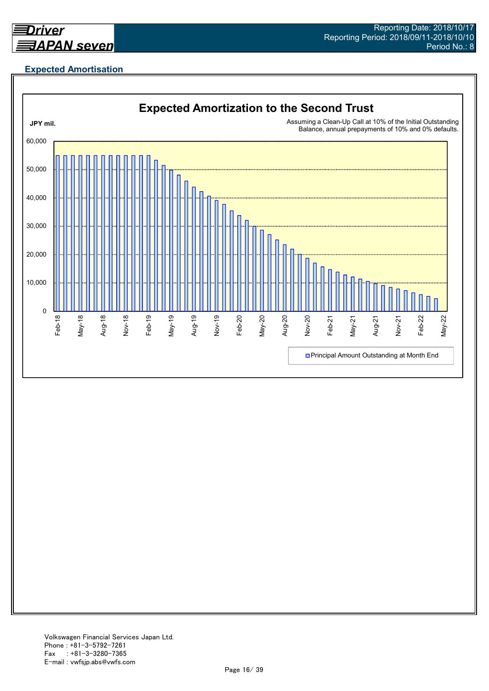

## **Expected Amortisation**

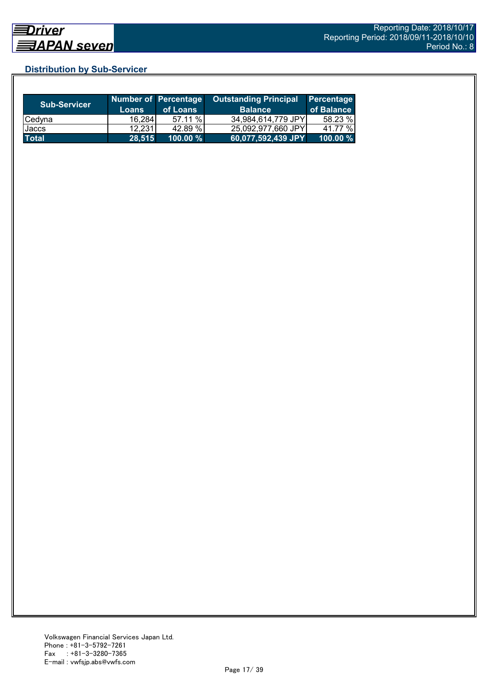## **Distribution by Sub-Servicer**

| <b>Sub-Servicer</b> | <b>Loans</b> | Number of Percentage<br>of Loans | <b>Outstanding Principal</b><br><b>Balance</b> | Percentage<br>of Balance |
|---------------------|--------------|----------------------------------|------------------------------------------------|--------------------------|
| Cedyna              | 16,284       | 57.11%                           | 34.984.614.779 JPYI                            | 58.23 %                  |
| Jaccs               | 12.231       | 42.89 %                          | 25.092.977.660 JPYI                            | 41.77 %                  |
| Total               | 28.515       | $100.00 \%$                      | 60,077,592,439 JPY                             | 100.00 %                 |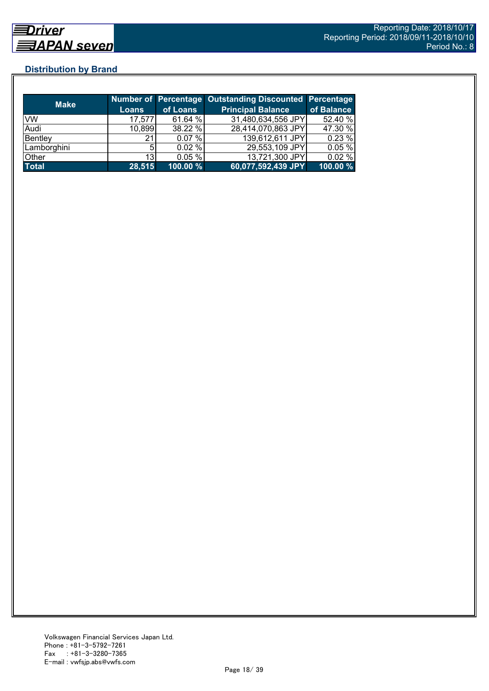## **Distribution by Brand**

| <b>Make</b>  |              |             | <b>Number of Percentage Outstanding Discounted Percentage</b> |            |
|--------------|--------------|-------------|---------------------------------------------------------------|------------|
|              | <b>Loans</b> | of Loans    | <b>Principal Balance</b>                                      | of Balance |
| VW           | 17,577       | 61.64 %     | 31,480,634,556 JPY                                            | 52.40 %    |
| Audi         | 10,899       | 38.22 %     | 28,414,070,863 JPY                                            | 47.30 %    |
| Bentley      | 21           | 0.07%       | 139,612,611 JPY                                               | 0.23%      |
| Lamborghini  |              | 0.02%       | 29,553,109 JPY                                                | 0.05%      |
| Other        | 13           | 0.05%       | 13,721,300 JPY                                                | 0.02%      |
| <b>Total</b> | 28,515       | $100.00 \%$ | 60,077,592,439 JPY                                            | 100.00 %   |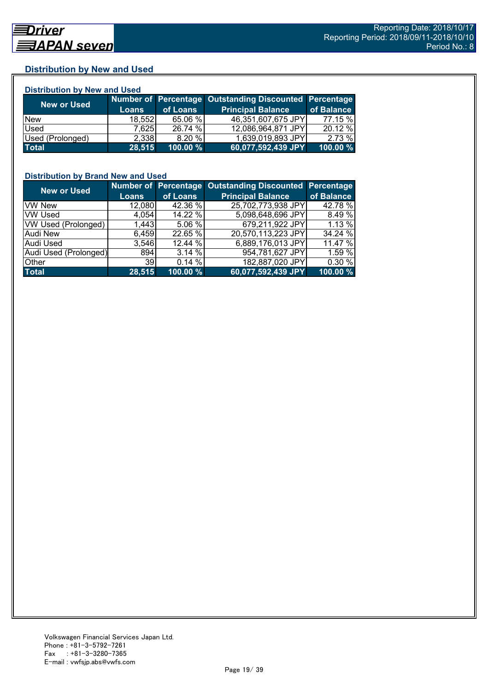## **Distribution by New and Used**

| <b>Distribution by New and Used</b> |              |          |                                                        |            |  |  |
|-------------------------------------|--------------|----------|--------------------------------------------------------|------------|--|--|
|                                     |              |          | Number of Percentage Outstanding Discounted Percentage |            |  |  |
| <b>New or Used</b>                  | <b>Loans</b> | of Loans | <b>Principal Balance</b>                               | of Balance |  |  |
| <b>New</b>                          | 18,552       | 65.06 %  | 46,351,607,675 JPY                                     | 77.15 %    |  |  |
| Used                                | 7,625        | 26.74 %  | 12,086,964,871 JPY                                     | 20.12 %    |  |  |
| Used (Prolonged)                    | 2,338        | 8.20%    | 1,639,019,893 JPY                                      | 2.73%      |  |  |
| <b>Total</b>                        | 28,515       | 100.00 % | 60,077,592,439 JPY                                     | 100.00%    |  |  |

## **Distribution by Brand New and Used**

| <b>New or Used</b>    |                 |          | Number of Percentage Outstanding Discounted Percentage |            |
|-----------------------|-----------------|----------|--------------------------------------------------------|------------|
|                       | <b>Loans</b>    | of Loans | <b>Principal Balance</b>                               | of Balance |
| <b>VW New</b>         | 12,080          | 42.36 %  | 25,702,773,938 JPY                                     | 42.78 %    |
| <b>VW Used</b>        | 4,054           | 14.22 %  | 5,098,648,696 JPY                                      | 8.49 %     |
| VW Used (Prolonged)   | 1,443           | 5.06 %   | 679,211,922 JPY                                        | 1.13 %     |
| <b>Audi New</b>       | 6,459           | 22.65 %  | 20,570,113,223 JPY                                     | 34.24 %    |
| Audi Used             | 3.546           | 12.44 %  | 6,889,176,013 JPY                                      | 11.47 %    |
| Audi Used (Prolonged) | 894             | 3.14 %   | 954,781,627 JPY                                        | 1.59 %     |
| Other                 | 39 <sub>l</sub> | 0.14%    | 182,887,020 JPY                                        | 0.30 %     |
| <b>Total</b>          | 28,515          | 100.00 % | 60,077,592,439 JPY                                     | 100.00 %   |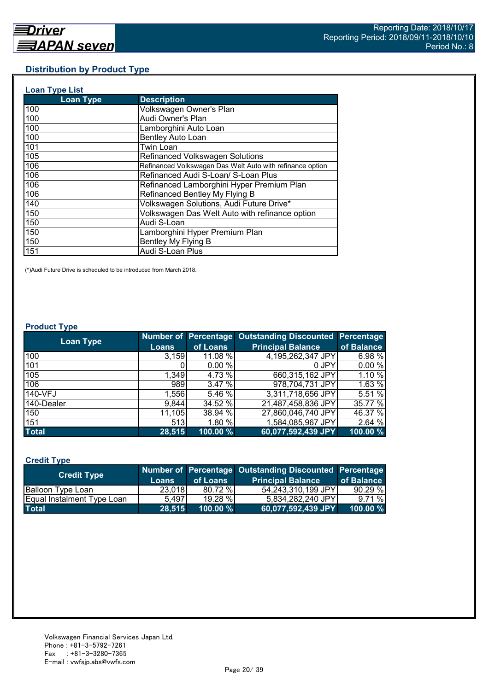## **Distribution by Product Type**

| <b>Loan Type List</b> |                                                           |
|-----------------------|-----------------------------------------------------------|
| <b>Loan Type</b>      | <b>Description</b>                                        |
| 100                   | Volkswagen Owner's Plan                                   |
| 100                   | Audi Owner's Plan                                         |
| 100                   | Lamborghini Auto Loan                                     |
| 100                   | Bentley Auto Loan                                         |
| 101                   | Twin Loan                                                 |
| 105                   | <b>Refinanced Volkswagen Solutions</b>                    |
| 106                   | Refinanced Volkswagen Das Welt Auto with refinance option |
| 106                   | Refinanced Audi S-Loan/ S-Loan Plus                       |
| 106                   | Refinanced Lamborghini Hyper Premium Plan                 |
| 106                   | Refinanced Bentley My Flying B                            |
| 140                   | Volkswagen Solutions, Audi Future Drive*                  |
| 150                   | Volkswagen Das Welt Auto with refinance option            |
| 150                   | Audi S-Loan                                               |
| 150                   | Lamborghini Hyper Premium Plan                            |
| 150                   | Bentley My Flying B                                       |
| 151                   | Audi S-Loan Plus                                          |

(\*)Audi Future Drive is scheduled to be introduced from March 2018.

#### **Product Type**

| <b>Loan Type</b> |        |          | Number of Percentage Outstanding Discounted Percentage |            |
|------------------|--------|----------|--------------------------------------------------------|------------|
|                  | Loans  | of Loans | <b>Principal Balance</b>                               | of Balance |
| 100              | 3.159  | 11.08 %  | 4,195,262,347 JPY                                      | 6.98 %     |
| 101              |        | 0.00%    | 0 JPY                                                  | 0.00%      |
| 105              | 1,349  | 4.73 %   | 660,315,162 JPY                                        | 1.10 %     |
| 106              | 989    | 3.47 %   | 978,704,731 JPY                                        | 1.63 %     |
| 140-VFJ          | 1,556  | 5.46 %   | 3,311,718,656 JPY                                      | 5.51 %     |
| 140-Dealer       | 9,844  | 34.52 %  | 21,487,458,836 JPY                                     | 35.77 %    |
| 150              | 11,105 | 38.94 %  | 27,860,046,740 JPY                                     | 46.37 %    |
| 151              | 513    | 1.80 %   | 1,584,085,967 JPY                                      | 2.64 %     |
| <b>Total</b>     | 28,515 | 100.00 % | 60,077,592,439 JPY                                     | 100.00 %   |

## **Credit Type**

| <b>Credit Type</b>         |        |             | Number of Percentage Outstanding Discounted Percentage |            |
|----------------------------|--------|-------------|--------------------------------------------------------|------------|
|                            | Loans  | of Loans    | <b>Principal Balance</b>                               | of Balance |
| Balloon Type Loan          | 23,018 | 80.72 %     | 54,243,310,199 JPY                                     | 90.29%     |
| Equal Instalment Type Loan | 5.497  | 19.28 %     | 5,834,282,240 JPY                                      | 9.71%      |
| <b>Total</b>               | 28,515 | $100.00 \%$ | 60,077,592,439 JPY                                     | 100.00 %   |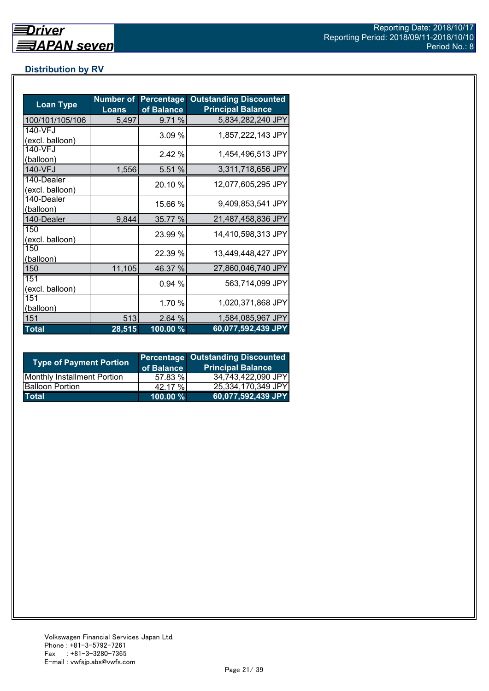## **Distribution by RV**

| <b>Loan Type</b>              | <b>Number of</b><br><b>Loans</b> | <b>Percentage</b><br>of Balance | <b>Outstanding Discounted</b><br><b>Principal Balance</b> |
|-------------------------------|----------------------------------|---------------------------------|-----------------------------------------------------------|
| 100/101/105/106               | 5,497                            | 9.71 %                          | 5,834,282,240 JPY                                         |
| 140-VFJ<br>(excl. balloon)    |                                  | 3.09%                           | 1,857,222,143 JPY                                         |
| 140-VFJ<br>(balloon)          |                                  | 2.42%                           | 1,454,496,513 JPY                                         |
| 140-VFJ                       | 1,556                            | 5.51 %                          | 3,311,718,656 JPY                                         |
| 140-Dealer<br>(excl. balloon) |                                  | 20.10 %                         | 12,077,605,295 JPY                                        |
| 140-Dealer<br>(balloon)       |                                  | 15.66 %                         | 9,409,853,541 JPY                                         |
| 140-Dealer                    | 9,844                            | 35.77 %                         | 21,487,458,836 JPY                                        |
| 150<br>(excl. balloon)        |                                  | 23.99 %                         | 14,410,598,313 JPY                                        |
| 150<br>(balloon)              |                                  | 22.39 %                         | 13,449,448,427 JPY                                        |
| 150                           | 11,105                           | 46.37 %                         | 27,860,046,740 JPY                                        |
| 151<br>(excl. balloon)        |                                  | 0.94 %                          | 563,714,099 JPY                                           |
| 151<br>(balloon)              |                                  | 1.70 %                          | 1,020,371,868 JPY                                         |
| 151                           | 513                              | 2.64 %                          | 1,584,085,967 JPY                                         |
| <b>Total</b>                  | 28,515                           | $100.00\%$                      | 60,077,592,439 JPY                                        |

| <b>Type of Payment Portion</b>     | of Balance | <b>Percentage Outstanding Discounted</b><br><b>Principal Balance</b> |
|------------------------------------|------------|----------------------------------------------------------------------|
| <b>Monthly Installment Portion</b> | 57.83 %    | 34,743,422,090 JPY                                                   |
| <b>Balloon Portion</b>             | 42.17 %    | 25,334,170,349 JPY                                                   |
| <b>Total</b>                       | 100.00 %   | 60,077,592,439 JPY                                                   |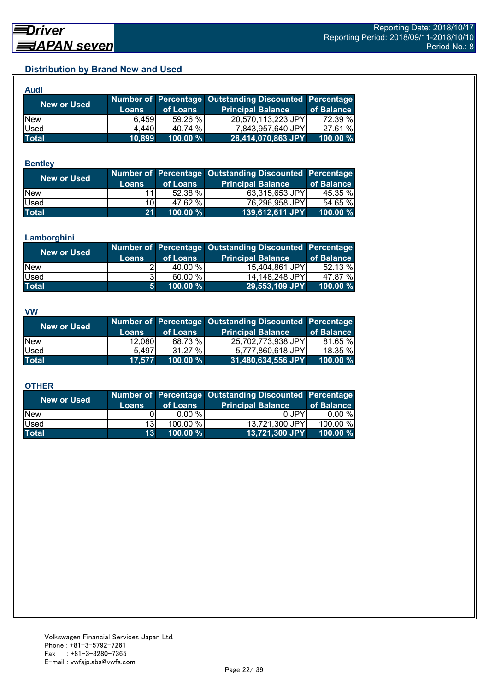## **Distribution by Brand New and Used**

| <b>Audi</b>        |              |             |                                                        |             |
|--------------------|--------------|-------------|--------------------------------------------------------|-------------|
| <b>New or Used</b> |              |             | Number of Percentage Outstanding Discounted Percentage |             |
|                    | <b>Loans</b> | of Loans    | <b>Principal Balance</b>                               | of Balance  |
| <b>New</b>         | 6.459        | 59.26 %     | 20,570,113,223 JPY                                     | 72.39 %     |
| Used               | 4,440        | 40.74 %     | 7,843,957,640 JPY                                      | 27.61 %     |
| <b>Total</b>       | 10,899       | $100.00 \%$ | 28,414,070,863 JPY                                     | $100.00 \%$ |

#### **Bentley**

| New or Used  | <b>Loans</b>    | of Loans    | Number of Percentage Outstanding Discounted Percentage<br><b>Principal Balance</b> | of Balance |
|--------------|-----------------|-------------|------------------------------------------------------------------------------------|------------|
| <b>New</b>   |                 | 52.38 %     | 63,315,653 JPY                                                                     | 45.35 %    |
| Used         | 10I             | 47.62 %     | 76,296,958 JPY                                                                     | 54.65 %    |
| <b>Total</b> | 21 <sup>1</sup> | $100.00 \%$ | 139,612,611 JPY                                                                    | 100.00 %   |

#### **Lamborghini**

| New or Used  | <b>Loans</b>   | of Loans | Number of Percentage Outstanding Discounted Percentage<br><b>Principal Balance</b> | of Balance |
|--------------|----------------|----------|------------------------------------------------------------------------------------|------------|
| <b>New</b>   |                | 40.00 %  | 15,404,861 JPY                                                                     | 52.13 %    |
| Used         | 31             | 60.00 %  | 14.148.248 JPYI                                                                    | 47.87 %    |
| <b>Total</b> | 5 <sup>1</sup> | 100.00 % | 29,553,109 JPY                                                                     | 100.00 %   |

#### **VW**

| <b>New or Used</b> |              |          | Number of Percentage Outstanding Discounted Percentage |            |
|--------------------|--------------|----------|--------------------------------------------------------|------------|
|                    | <b>Loans</b> | of Loans | <b>Principal Balance</b>                               | of Balance |
| <b>New</b>         | 12,080       | 68.73 %  | 25,702,773,938 JPY                                     | 81.65 %    |
| <b>Used</b>        | 5.497        | 31.27 %  | 5,777,860,618 JPY                                      | 18.35 %    |
| <b>Total</b>       | 17,577       | 100.00 % | $ 31,480,634,556$ JPY $ $                              | 100.00 %   |

#### **OTHER**

| <b>New or Used</b> | <b>Loans</b>    | of Loans | Number of Percentage Outstanding Discounted Percentage<br><b>Principal Balance</b> | of Balance |
|--------------------|-----------------|----------|------------------------------------------------------------------------------------|------------|
| <b>New</b>         |                 | 0.00 %   | 0 JPY                                                                              | $0.00 \%$  |
| Used               | 13 <sup>1</sup> | 100.00 % | 13,721,300 JPY                                                                     | 100.00 %   |
| <b>Total</b>       | 13 <sup>1</sup> | 100.00 % | 13,721,300 JPY                                                                     | 100.00 $%$ |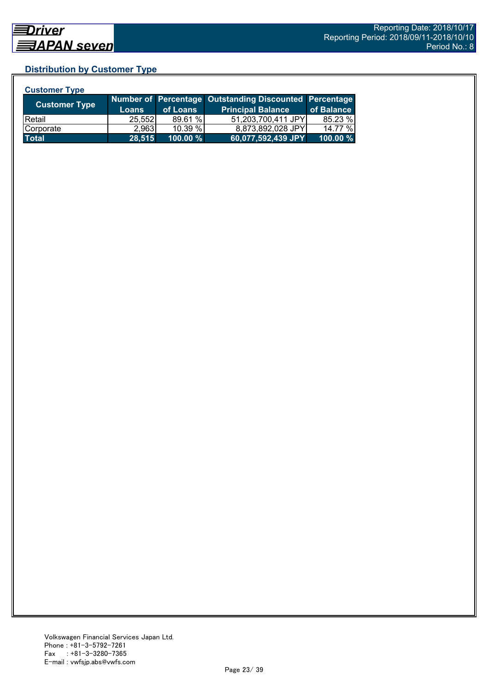## **Distribution by Customer Type**

| <b>Customer Type</b> |              |          |                                                        |            |
|----------------------|--------------|----------|--------------------------------------------------------|------------|
| <b>Customer Type</b> |              |          | Number of Percentage Outstanding Discounted Percentage |            |
|                      | <b>Loans</b> | of Loans | <b>Principal Balance</b>                               | of Balance |
| <b>Retail</b>        | 25,552       | 89.61 %  | 51,203,700,411 JPY                                     | 85.23 %    |
| Corporate            | 2,963        | 10.39%   | 8,873,892,028 JPY                                      | 14.77 %    |
| <b>Total</b>         | 28,515       | 100.00 % | 60,077,592,439 JPY                                     | 100.00 %   |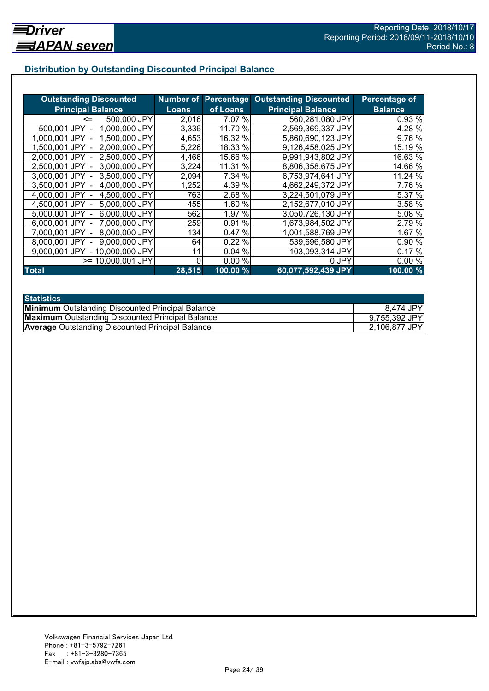## **Distribution by Outstanding Discounted Principal Balance**

| <b>Outstanding Discounted</b>     |              |           | <b>Number of Percentage Outstanding Discounted</b> | Percentage of  |
|-----------------------------------|--------------|-----------|----------------------------------------------------|----------------|
| <b>Principal Balance</b>          | <b>Loans</b> | of Loans  | <b>Principal Balance</b>                           | <b>Balance</b> |
| 500,000 JPY<br><=                 | 2,016        | 7.07 %    | 560,281,080 JPY                                    | 0.93 %         |
| 1,000,000 JPY<br>500,001 JPY      | 3,336        | 11.70 %   | 2,569,369,337 JPY                                  | 4.28 %         |
| 1,500,000 JPY<br>1.000.001 JPY    | 4,653        | 16.32 %   | 5,860,690,123 JPY                                  | 9.76 %         |
| 2,000,000 JPY<br>1.500.001 JPY -  | 5,226        | 18.33 %   | 9,126,458,025 JPY                                  | 15.19 %        |
| 2,500,000 JPY<br>2.000.001 JPY -  | 4,466        | 15.66 %   | 9,991,943,802 JPY                                  | 16.63 %        |
| 3,000,000 JPY<br>2,500,001 JPY -  | 3,224        | 11.31 %   | 8,806,358,675 JPY                                  | 14.66 %        |
| 3,500,000 JPY<br>3,000,001 JPY -  | 2,094        | 7.34 %    | 6,753,974,641 JPY                                  | 11.24 %        |
| 3.500,001 JPY -<br>4,000,000 JPY  | 1,252        | 4.39 %    | 4,662,249,372 JPY                                  | 7.76 %         |
| 4,000,001 JPY -<br>4,500,000 JPY  | 763          | 2.68 %    | 3,224,501,079 JPY                                  | 5.37 %         |
| 4,500,001 JPY -<br>5,000,000 JPY  | 455          | 1.60 %    | 2,152,677,010 JPY                                  | 3.58 %         |
| 6,000,000 JPY<br>5,000,001 JPY -  | 562          | 1.97 %    | 3,050,726,130 JPY                                  | 5.08 %         |
| 7,000,000 JPY<br>6,000,001 JPY -  | 259          | %<br>0.91 | 1,673,984,502 JPY                                  | 2.79 %         |
| 8,000,000 JPY<br>7.000.001 JPY -  | 134          | 0.47%     | 1,001,588,769 JPY                                  | 1.67 %         |
| 9,000,000 JPY<br>8,000,001 JPY    | 64           | 0.22%     | 539,696,580 JPY                                    | 0.90 %         |
| - 10,000,000 JPY<br>9.000.001 JPY | 11           | 0.04%     | 103,093,314 JPY                                    | 0.17%          |
| >= 10,000,001 JPY                 | 0            | 0.00%     | 0 JPY                                              | 0.00%          |
| <b>Total</b>                      | 28,515       | 100.00 %  | 60,077,592,439 JPY                                 | 100.00%        |

| <b>Statistics</b>                                       |               |
|---------------------------------------------------------|---------------|
| <b>Minimum</b> Outstanding Discounted Principal Balance | 8,474 JPY     |
| <b>Maximum</b> Outstanding Discounted Principal Balance | 9,755,392 JPY |
| <b>Average Outstanding Discounted Principal Balance</b> | 2,106,877 JPY |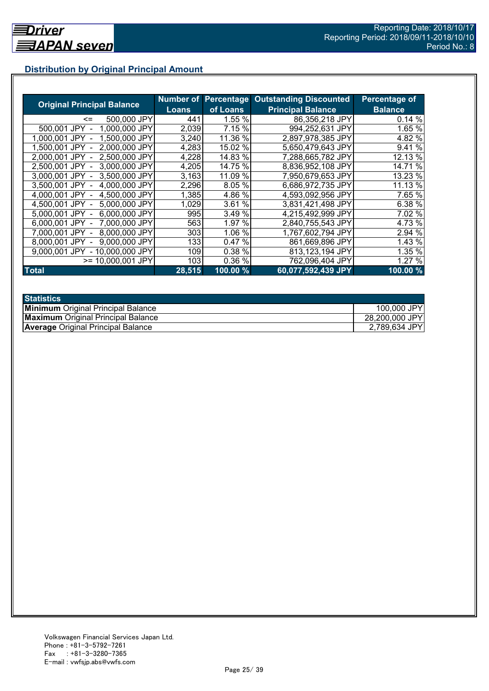## **Distribution by Original Principal Amount**

|                                   |              |          | <b>Number of Percentage Outstanding Discounted</b> | <b>Percentage of</b> |
|-----------------------------------|--------------|----------|----------------------------------------------------|----------------------|
| <b>Original Principal Balance</b> | <b>Loans</b> | of Loans | <b>Principal Balance</b>                           | <b>Balance</b>       |
| 500,000 JPY<br>$\leq$             | 441          | 1.55 %   | 86,356,218 JPY                                     | 0.14%                |
| 500,001 JPY<br>1,000,000 JPY      | 2,039        | 7.15 %   | 994,252,631 JPY                                    | 1.65 %               |
| 1,500,000 JPY<br>1.000.001 JPY    | 3,240        | 11.36 %  | 2,897,978,385 JPY                                  | 4.82 %               |
| 2,000,000 JPY<br>1.500.001 JPY    | 4,283        | 15.02 %  | 5,650,479,643 JPY                                  | 9.41 %               |
| 2,500,000 JPY<br>2.000.001 JPY    | 4,228        | 14.83 %  | 7,288,665,782 JPY                                  | 12.13 %              |
| 2,500,001 JPY<br>3.000.000 JPY    | 4,205        | 14.75 %  | 8,836,952,108 JPY                                  | 14.71 %              |
| 3.000.001 JPY -<br>3.500,000 JPY  | 3,163        | 11.09 %  | 7,950,679,653 JPY                                  | 13.23 %              |
| 3,500,001 JPY -<br>4,000,000 JPY  | 2,296        | 8.05 %   | 6,686,972,735 JPY                                  | 11.13 %              |
| 4,500,000 JPY<br>4,000,001 JPY    | 1,385        | 4.86 %   | 4,593,092,956 JPY                                  | 7.65 %               |
| 5,000,000 JPY<br>4,500,001 JPY -  | 1,029        | 3.61 %   | 3,831,421,498 JPY                                  | 6.38 %               |
| 6,000,000 JPY<br>5,000,001 JPY -  | 995          | 3.49 %   | 4,215,492,999 JPY                                  | 7.02 %               |
| 7,000,000 JPY<br>6,000,001 JPY -  | 563          | 1.97 %   | 2,840,755,543 JPY                                  | 4.73 %               |
| 8,000,000 JPY<br>7.000.001 JPY -  | 303          | 1.06 %   | 1,767,602,794 JPY                                  | 2.94 %               |
| 9,000,000 JPY<br>8.000.001 JPY    | 133          | 0.47%    | 861,669,896 JPY                                    | 1.43 %               |
| 9,000,001 JPY<br>- 10,000,000 JPY | 109          | 0.38 %   | 813,123,194 JPY                                    | 1.35 %               |
| $>= 10,000,001$ JPY               | 103          | 0.36%    | 762,096,404 JPY                                    | 1.27 %               |
| <b>Total</b>                      | 28,515       | 100.00 % | 60,077,592,439 JPY                                 | 100.00%              |

| <b>Statistics</b>                         |                |
|-------------------------------------------|----------------|
| <b>Minimum</b> Original Principal Balance | 100,000 JPY    |
| <b>Maximum</b> Original Principal Balance | 28,200,000 JPY |
| <b>Average Original Principal Balance</b> | 2,789,634 JPY  |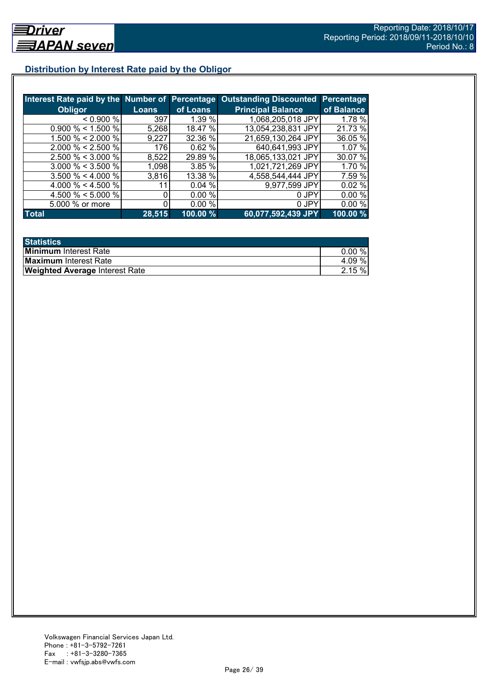## **Distribution by Interest Rate paid by the Obligor**

|                       |              |          | Interest Rate paid by the Number of Percentage Outstanding Discounted | <b>Percentage</b> |
|-----------------------|--------------|----------|-----------------------------------------------------------------------|-------------------|
| <b>Obligor</b>        | <b>Loans</b> | of Loans | <b>Principal Balance</b>                                              | of Balance        |
| < 0.900 %             | 397          | 1.39%    | 1,068,205,018 JPY                                                     | 1.78 %            |
| $0.900\% < 1.500\%$   | 5,268        | 18.47 %  | 13,054,238,831 JPY                                                    | 21.73 %           |
| 1.500 % < 2.000 %     | 9,227        | 32.36 %  | 21,659,130,264 JPY                                                    | 36.05 %           |
| $2.000 \% < 2.500 \%$ | 176          | 0.62%    | 640,641,993 JPY                                                       | 1.07 %            |
| $2.500 \% < 3.000 \%$ | 8,522        | 29.89 %  | 18,065,133,021 JPY                                                    | 30.07 %           |
| $3.000 \% < 3.500 \%$ | 1,098        | 3.85%    | 1,021,721,269 JPY                                                     | 1.70 %            |
| $3.500 \% < 4.000 \%$ | 3,816        | 13.38 %  | 4,558,544,444 JPY                                                     | 7.59 %            |
| 4.000 % < 4.500 %     |              | 0.04%    | 9,977,599 JPY                                                         | 0.02%             |
| 4.500 % < 5.000 %     |              | 0.00%    | 0 JPY                                                                 | 0.00%             |
| 5.000 % or more       |              | 0.00%    | 0 JPY                                                                 | 0.00%             |
| <b>Total</b>          | 28,515       | 100.00 % | 60,077,592,439 JPY                                                    | 100.00 %          |

| <b>Statistics</b>                     |       |
|---------------------------------------|-------|
| <b>Minimum</b> Interest Rate          | 0.00% |
| <b>Maximum</b> Interest Rate          | 4.09% |
| <b>Weighted Average Interest Rate</b> | 2.15% |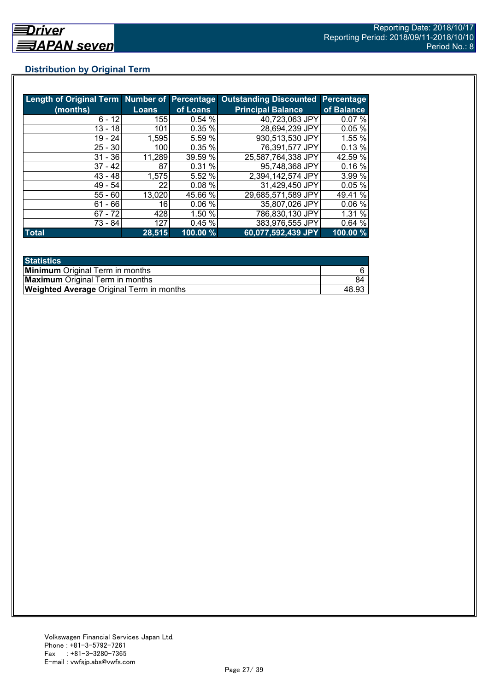## **Distribution by Original Term**

| Length of Original Term Number of Percentage |              |          | <b>Outstanding Discounted</b> | <b>Percentage</b> |
|----------------------------------------------|--------------|----------|-------------------------------|-------------------|
| (months)                                     | <b>Loans</b> | of Loans | <b>Principal Balance</b>      | of Balance        |
| $6 - 12$                                     | 155          | 0.54%    | 40,723,063 JPY                | 0.07%             |
| $13 - 18$                                    | 101          | 0.35 %   | 28,694,239 JPY                | 0.05%             |
| $19 - 24$                                    | 1,595        | 5.59 %   | 930,513,530 JPY               | 1.55 %            |
| $25 - 30$                                    | 100          | 0.35%    | 76,391,577 JPY                | 0.13%             |
| $31 - 36$                                    | 11,289       | 39.59 %  | 25,587,764,338 JPY            | 42.59 %           |
| $37 - 42$                                    | 87           | 0.31%    | 95,748,368 JPY                | 0.16%             |
| $43 - 48$                                    | 1,575        | 5.52 %   | 2,394,142,574 JPY             | 3.99 %            |
| $49 - 54$                                    | 22           | 0.08%    | 31,429,450 JPY                | 0.05%             |
| $55 - 60$                                    | 13,020       | 45.66 %  | 29,685,571,589 JPY            | 49.41 %           |
| $61 - 66$                                    | 16           | 0.06%    | 35,807,026 JPY                | 0.06%             |
| $67 - 72$                                    | 428          | 1.50 %   | 786,830,130 JPY               | 1.31%             |
| 73 - 84                                      | 127          | 0.45%    | 383,976,555 JPY               | 0.64%             |
| <b>Total</b>                                 | 28,515       | 100.00 % | 60,077,592,439 JPY            | 100.00 %          |

| <b>Statistics</b>                               |       |
|-------------------------------------------------|-------|
| <b>Minimum</b> Original Term in months          |       |
| <b>Maximum</b> Original Term in months          | 84    |
| <b>Weighted Average Original Term in months</b> | 48.93 |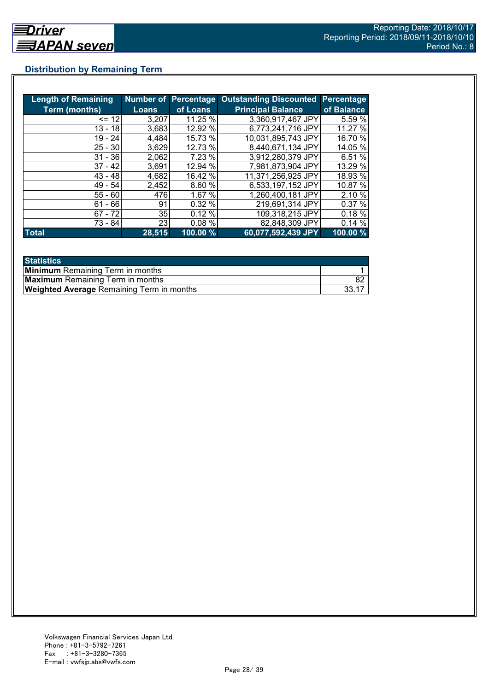## **Distribution by Remaining Term**

| <b>Length of Remaining</b> |              |          | Number of Percentage Outstanding Discounted Percentage |            |
|----------------------------|--------------|----------|--------------------------------------------------------|------------|
| <b>Term (months)</b>       | <b>Loans</b> | of Loans | <b>Principal Balance</b>                               | of Balance |
| $= 12$                     | 3,207        | 11.25 %  | 3,360,917,467 JPY                                      | 5.59 %     |
| $13 - 18$                  | 3,683        | 12.92 %  | 6,773,241,716 JPY                                      | 11.27 %    |
| 19 - 24                    | 4,484        | 15.73 %  | 10,031,895,743 JPY                                     | 16.70 %    |
| $25 - 30$                  | 3,629        | 12.73 %  | 8,440,671,134 JPY                                      | 14.05 %    |
| $31 - 36$                  | 2,062        | 7.23 %   | 3,912,280,379 JPY                                      | 6.51 %     |
| $37 - 42$                  | 3,691        | 12.94 %  | 7,981,873,904 JPY                                      | 13.29 %    |
| $43 - 48$                  | 4,682        | 16.42 %  | 11.371,256,925 JPY                                     | 18.93 %    |
| $49 - 54$                  | 2,452        | 8.60 %   | 6,533,197,152 JPY                                      | 10.87 %    |
| $55 - 60$                  | 476          | 1.67 %   | 1,260,400,181 JPY                                      | 2.10 %     |
| $61 - 66$                  | 91           | 0.32%    | 219,691,314 JPY                                        | 0.37%      |
| $67 - 72$                  | 35           | 0.12%    | 109,318,215 JPY                                        | 0.18%      |
| 73 - 84                    | 23           | 0.08%    | 82,848,309 JPY                                         | 0.14%      |
| <b>Total</b>               | 28,515       | 100.00 % | 60,077,592,439 JPY                                     | 100.00 %   |

| <b>Statistics</b>                                |  |
|--------------------------------------------------|--|
| <b>Minimum</b> Remaining Term in months          |  |
| <b>Maximum</b> Remaining Term in months          |  |
| <b>Weighted Average Remaining Term in months</b> |  |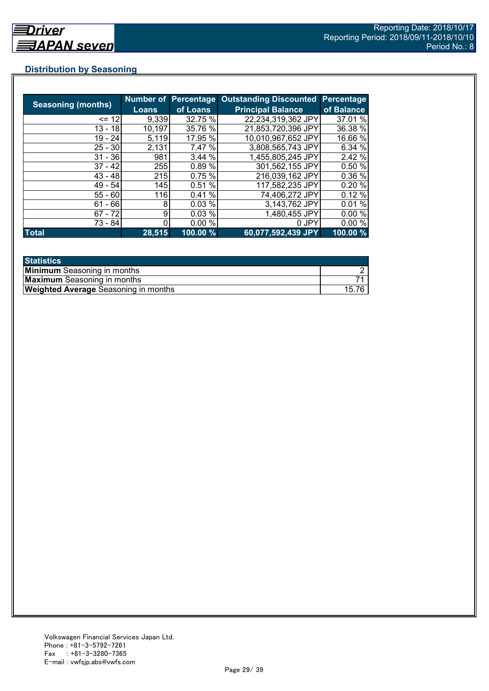## **Distribution by Seasoning**

|                           |              |          | Number of Percentage Outstanding Discounted | <b>Percentage</b> |
|---------------------------|--------------|----------|---------------------------------------------|-------------------|
| <b>Seasoning (months)</b> | <b>Loans</b> | of Loans | <b>Principal Balance</b>                    | of Balance        |
| $= 12$                    | 9,339        | 32.75 %  | 22,234,319,362 JPY                          | 37.01 %           |
| $13 - 18$                 | 10,197       | 35.76 %  | 21,853,720,396 JPY                          | 36.38 %           |
| $19 - 24$                 | 5,119        | 17.95 %  | 10,010,967,652 JPY                          | 16.66 %           |
| $25 - 30$                 | 2,131        | 7.47 %   | 3,808,565,743 JPY                           | 6.34 %            |
| $31 - 36$                 | 981          | 3.44%    | 1,455,805,245 JPY                           | 2.42 %            |
| $37 - 42$                 | 255          | 0.89%    | 301,562,155 JPY                             | 0.50%             |
| $43 - 48$                 | 215          | 0.75%    | 216,039,162 JPY                             | 0.36 %            |
| $49 - 54$                 | 145          | 0.51%    | 117,582,235 JPY                             | 0.20%             |
| $55 - 60$                 | 116          | 0.41%    | 74,406,272 JPY                              | 0.12%             |
| - 66<br>61                | 8            | 0.03%    | 3,143,762 JPY                               | 0.01%             |
| $67 - 72$                 | 9            | 0.03%    | 1,480,455 JPY                               | 0.00%             |
| 73 - 84                   |              | 0.00%    | 0 JPY                                       | 0.00%             |
| <b>Total</b>              | 28,515       | 100.00 % | 60,077,592,439 JPY                          | 100.00 %          |

| <b>Statistics</b>                           |      |
|---------------------------------------------|------|
| <b>Minimum</b> Seasoning in months          |      |
| <b>Maximum</b> Seasoning in months          |      |
| <b>Weighted Average Seasoning in months</b> | 15.7 |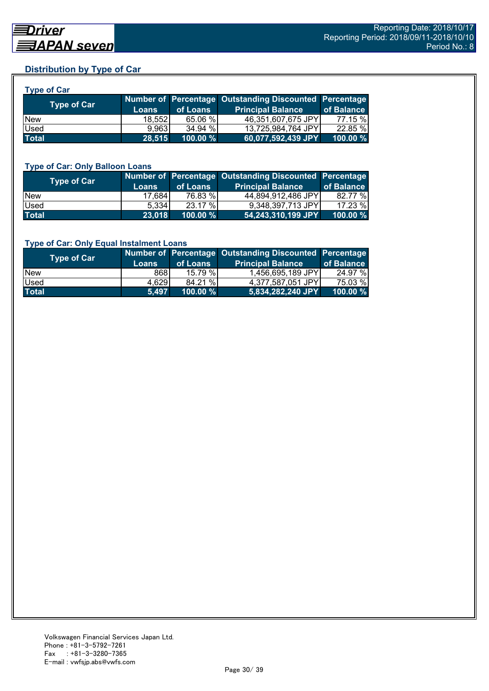## **Distribution by Type of Car**

| <b>Type of Car</b> |         |          |                                                        |            |
|--------------------|---------|----------|--------------------------------------------------------|------------|
| <b>Type of Car</b> |         |          | Number of Percentage Outstanding Discounted Percentage |            |
|                    | Loans   | of Loans | <b>Principal Balance</b>                               | of Balance |
| <b>New</b>         | 18.5521 | 65.06 %  | 46,351,607,675 JPY                                     | 77.15 %    |
| Used               | 9.963   | 34.94 %  | 13,725,984,764 JPY                                     | 22.85 %    |
| <b>Total</b>       | 28,515  | 100.00 % | 60,077,592,439 JPY                                     | 100.00 %   |

#### **Type of Car: Only Balloon Loans**

| Type of Car <b>T</b> | <b>Loans</b> | of Loans | Number of Percentage Outstanding Discounted Percentage<br><b>Principal Balance</b> | of Balance  |
|----------------------|--------------|----------|------------------------------------------------------------------------------------|-------------|
| <b>New</b>           | 17,684       | 76.83 %  | 44,894,912,486 JPY                                                                 | 82.77 %     |
| <b>Used</b>          | 5.334        | 23.17 %  | 9.348.397.713 JPY                                                                  | 17.23 %     |
| <b>Total</b>         | 23,018       | 100.00 % | 54,243,310,199 JPY                                                                 | $100.00 \%$ |

#### **Type of Car: Only Equal Instalment Loans**

| Type of Car  |              | of Loans    | Number of Percentage Outstanding Discounted Percentage | of Balance |
|--------------|--------------|-------------|--------------------------------------------------------|------------|
|              | <b>Loans</b> |             | <b>Principal Balance</b>                               |            |
| <b>New</b>   | 8681         | 15.79%      | 1,456,695,189 JPY                                      | 24.97 %    |
| <b>Used</b>  | 4,629        | 84.21 %     | 4.377.587.051 JPY                                      | 75.03 %    |
| <b>Total</b> | 5.497        | $100.00 \%$ | $ 5,834,282,240$ JPY $\rangle$                         | 100.00 %   |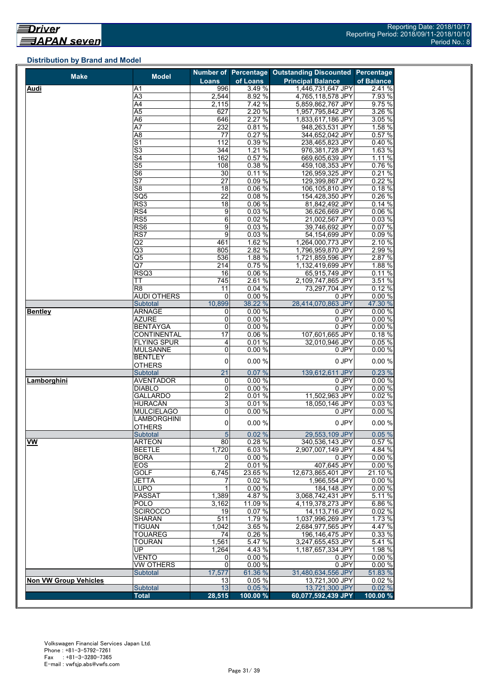## **Distribution by Brand and Model**

|                              |                                          |                 |                  | Number of Percentage Outstanding Discounted | Percentage      |
|------------------------------|------------------------------------------|-----------------|------------------|---------------------------------------------|-----------------|
| <b>Make</b>                  | <b>Model</b>                             | Loans           | of Loans         | <b>Principal Balance</b>                    | of Balance      |
| Audi                         | Α1                                       | 996             | 3.49 %           | 1,446,731,647 JPY                           | 2.41 %          |
|                              | A3                                       | 2,544           | 8.92 %           | 4,765,118,578 JPY                           | 7.93 %          |
|                              | $\overline{A4}$                          | 2,115           | 7.42 %           | 5,859,862,767 JPY                           | 9.75%           |
|                              | $\overline{A5}$                          | 627             | 2.20 %           | 1,957,795,842 JPY                           | 3.26 %          |
|                              | A <sub>6</sub>                           | 646             | 2.27 %           | 1,833,617,186 JPY                           | 3.05%           |
|                              | $\overline{A7}$                          | 232             | 0.81%            | 948,263,531 JPY                             | 1.58 %          |
|                              | A <sub>8</sub>                           | $\overline{77}$ | 0.27%            | 344,652,042 JPY                             | 0.57%           |
|                              | $\overline{S1}$                          | 112             | 0.39%            | 238,465,823 JPY                             | 0.40%           |
|                              | S3                                       | 344             | 1.21%            | 976,381,728 JPY                             | 1.63%           |
|                              | $\overline{\mathsf{S4}}$                 | 162             | 0.57%            | 669,605,639 JPY                             | 1.11%           |
|                              | $\overline{\text{S5}}$                   | 108             | 0.38%            | 459,108,353 JPY                             | 0.76%           |
|                              | S <sub>6</sub>                           | 30              | 0.11%            | 126,959,325 JPY                             | 0.21%           |
|                              | $\overline{\mathsf{S}7}$                 | $\overline{27}$ | 0.09%            | 129,399,867 JPY                             | 0.22%           |
|                              | S <sub>8</sub>                           | 18              | 0.06%            | 106,105,810 JPY                             | 0.18%           |
|                              | SQ <sub>5</sub>                          | 22              | 0.08%            | 154,428,350 JPY                             | 0.26%           |
|                              | RS3                                      | 18              | 0.06%            | 81,842,492 JPY                              | 0.14%           |
|                              | RS4                                      | 9               | 0.03%            | 36,626,669 JPY                              | 0.06 %          |
|                              | RS <sub>5</sub>                          | $\overline{6}$  | 0.02%            | 21,002,567 JPY                              | 0.03%           |
|                              | RS <sub>6</sub>                          | 9               | 0.03%            | 39,746,692 JPY                              | 0.07%           |
|                              | RS7                                      | $\overline{9}$  | 0.03%            | 54,154,699 JPY                              | 0.09%           |
|                              | $\overline{Q}$                           | 461             | 1.62 %           | 1.264.000.773 JPY                           | 2.10 %          |
|                              | Q3                                       | 805             | 2.82 %           | 1,796,959,870 JPY                           | 2.99 %          |
|                              | $\overline{\text{Q5}}$                   | 536             | 1.88 %           | 1,721,859,596 JPY                           | 2.87 %          |
|                              | $\overline{Q7}$                          | 214             | 0.75 %           | 1,132,419,699 JPY                           | 1.88 %          |
|                              | RSQ3                                     | 16              | 0.06%            | 65,915,749 JPY                              | 0.11%           |
|                              | ТT                                       | 745             | 2.61%            | 2,109,747,865 JPY                           | 3.51 %          |
|                              | R <sub>8</sub>                           | 11              | 0.04%            | 73,297,704 JPY                              | 0.12%           |
|                              | <b>AUDI OTHERS</b>                       | 0               | 0.00%            | 0 JPY                                       | 0.00%           |
|                              | Subtotal                                 | 10,899          | 38.22 %          | 28,414,070,863 JPY                          | 47.30 %         |
| <b>Bentley</b>               | <b>ARNAGE</b>                            | 0               | 0.00%            | 0 JPY                                       | 0.00%           |
|                              | AZURE                                    | $\pmb{0}$       | 0.00%            | 0 JPY                                       | 0.00%           |
|                              | <b>BENTAYGA</b>                          | 0               | 0.00%            | 0 JPY                                       | 0.00%           |
|                              | <b>CONTINENTAL</b><br><b>FLYING SPUR</b> | $\overline{17}$ | 0.06%<br>0.01%   | 107,601,665 JPY<br>32,010,946 JPY           | 0.18%           |
|                              | <b>MULSANNE</b>                          | 4<br>0          | 0.00%            | 0 JPY                                       | 0.05%<br>0.00%  |
|                              | <b>BENTLEY</b>                           |                 |                  |                                             |                 |
|                              | <b>OTHERS</b>                            | 0               | 0.00%            | 0 JPY                                       | 0.00%           |
|                              | Subtotal                                 | $\overline{21}$ | 0.07%            | 139,612,611 JPY                             | 0.23%           |
| Lamborghini                  | <b>AVENTADOR</b>                         | 0               | 0.00%            | 0 JPY                                       | 0.00%           |
|                              | <b>DIABLO</b>                            | 0               | 0.00%            | 0 JPY                                       | 0.00%           |
|                              | <b>GALLARDO</b>                          | $\overline{2}$  | 0.01%            | 11,502,963 JPY                              | 0.02%           |
|                              | <b>HURACÁN</b>                           | 3               | 0.01%            | 18,050,146 JPY                              | 0.03%           |
|                              | <b>MULCIELAGO</b>                        | 0               | 0.00%            | 0 JPY                                       | 0.00%           |
|                              | <b>LAMBORGHINI</b>                       | 0               | 0.00%            | 0 JPY                                       | 0.00%           |
|                              | <b>OTHERS</b>                            |                 |                  |                                             |                 |
|                              | Subtotal                                 | 5               | 0.02%            | 29,553,109 JPY                              | 0.05%           |
| <b>VW</b>                    | <b>ARTEON</b>                            | 80              | $0.28\%$         | 340,536,143 JPY                             | 0.57 %          |
|                              | <b>BEETLE</b>                            | 1,720           | 6.03 %           | 2,907,007,149 JPY                           | 4.84 %          |
|                              | <b>BORA</b>                              | 0               | 0.00%            | 0 JPY                                       | 0.00%           |
|                              | EOS                                      | 2               | 0.01%            | 407,645 JPY                                 | 0.00%           |
|                              | <b>GOLF</b>                              | 6,745           | 23.65 %          | 12,673,865,401 JPY                          | 21.10 %         |
|                              | <b>JETTA</b>                             | 7               | 0.02%            | 1,966,554 JPY                               | 0.00%           |
|                              | LUPO                                     | 1               | 0.00%            | 184,148 JPY                                 | 0.00 %          |
|                              | <b>PASSAT</b><br><b>POLO</b>             | 1,389           | 4.87 %           | 3,068,742,431 JPY                           | 5.11 %<br>6.86% |
|                              | <b>SCIROCCO</b>                          | 3,162<br>19     | 11.09 %<br>0.07% | 4,119,378,273 JPY<br>14,113,716 JPY         | 0.02%           |
|                              | <b>SHARAN</b>                            | 511             | 1.79 %           | 1,037,996,269 JPY                           | 1.73 %          |
|                              | <b>TIGUAN</b>                            | 1,042           | 3.65%            | 2,684,977,565 JPY                           | 4.47%           |
|                              | <b>TOUAREG</b>                           | 74              | 0.26%            | 196,146,475 JPY                             | 0.33 %          |
|                              | <b>TOURAN</b>                            | 1,561           | 5.47 %           | 3,247,655,453 JPY                           | 5.41 %          |
|                              | UP                                       | 1,264           | 4.43 %           | 1,187,657,334 JPY                           | 1.98 %          |
|                              | VENTO                                    | 0               | 0.00%            | 0 JPY                                       | 0.00%           |
|                              | <b>VW OTHERS</b>                         | $\mathbf 0$     | 0.00%            | 0 JPY                                       | 0.00%           |
|                              | <b>Subtotal</b>                          | 17,577          | 61.36 %          | 31,480,634,556 JPY                          | 51.83 %         |
| <b>Non VW Group Vehicles</b> |                                          | 13              | 0.05%            | 13,721,300 JPY                              | 0.02%           |
|                              | Subtotal                                 | 13              | 0.05%            | 13,721,300 JPY                              | 0.02%           |
|                              | <b>Total</b>                             | 28,515          | 100.00 %         | 60,077,592,439 JPY                          | 100.00 %        |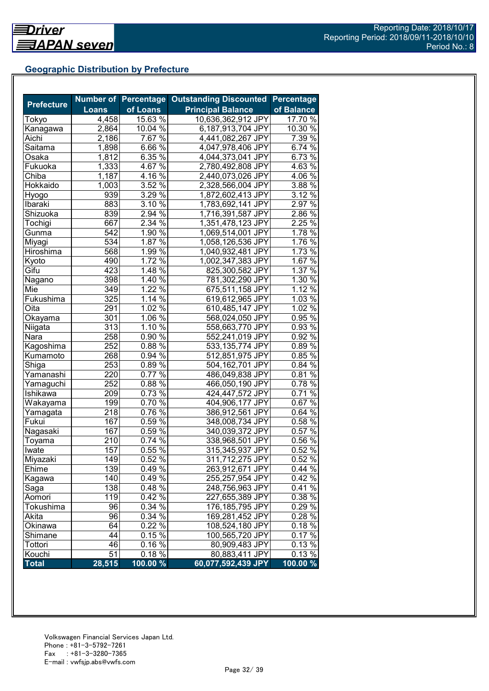## **Geographic Distribution by Prefecture**

|                   |                  | <b>Number of Percentage</b> | <b>Outstanding Discounted</b> | <b>Percentage</b>   |
|-------------------|------------------|-----------------------------|-------------------------------|---------------------|
| <b>Prefecture</b> | <b>Loans</b>     | of Loans                    | <b>Principal Balance</b>      | of Balance          |
| Tokyo             | 4,458            | 15.63 %                     | 10,636,362,912 JPY            | 17.70 %             |
| Kanagawa          | 2,864            | 10.04 $\frac{1}{6}$         | 6,187,913,704 JPY             | 10.30 $\frac{1}{6}$ |
| Aichi             | 2,186            | 7.67 %                      | 4,441,082,267 JPY             | $7.39\%$            |
| Saitama           | 1,898            | 6.66%                       | 4,047,978,406 JPY             | 6.74 %              |
| Osaka             | 1,812            | 6.35 $\sqrt{2}$             | 4,044,373,041 JPY             | 6.73 %              |
| Fukuoka           | 1,333            | 4.67 $\sqrt{2}$             | 2,780,492,808 JPY             | 4.63 $\sqrt{6}$     |
| Chiba             | 1,187            | $4.16\,\sqrt[6]{ }$         | 2,440,073,026 JPY             | $4.06\,\sqrt{6}$    |
| Hokkaido          | 1,003            | $3.52\%$                    | 2,328,566,004 JPY             | 3.88 %              |
| Hyogo             | 939              | 3.29%                       | 1,872,602,413 JPY             | $3.12\%$            |
| Ibaraki           | 883              | $3.10\%$                    | 1,783,692,141 JPY             | $2.97\%$            |
| Shizuoka          | 839              | $2.94\%$                    | 1,716,391,587 JPY             | $2.86\,\sqrt{2}$    |
| Tochigi           | 667              | 2.34 %                      | 1,351,478,123 JPY             | $2.\overline{25\%}$ |
| Gunma             | 542              | 1.90 %                      | 1,069,514,001 JPY             | 1.78 %              |
| Miyagi            | 534              | 1.87 %                      | 1,058,126,536 JPY             | 1.76%               |
| Hiroshima         | 568              | 1.99 $\frac{1}{6}$          | 1,040,932,481 JPY             | 1.73 %              |
| Kyoto             | 490              | 1.72 %                      | 1,002,347,383 JPY             | 1.67 %              |
| Gifu              | $\overline{423}$ | 1.48 $\sqrt{8}$             | 825,300,582 JPY               | 1.37%               |
| Nagano            | 398              | $1.40\%$                    | 781,302,290 JPY               | 1.30 %              |
| Mie               | 349              | $1.22\%$                    | 675,511,158 JPY               | 1.12 %              |
| Fukushima         | 325              | 1.14 $\frac{6}{6}$          | 619,612,965 JPY               | $1.03\%$            |
| Oita              | 291              | $1.02\%$                    | 610,485,147 JPY               | 1.02 %              |
| Okayama           | 301              | $1.06\%$                    | 568,024,050 JPY               | 0.95 %              |
| Niigata           | 313              | 1.10%                       | 558,663,770 JPY               | 0.93 %              |
| Nara              | 258              | 0.90%                       | 552,241,019 JPY               | 0.92 %              |
| Kagoshima         | 252              | $0.88\%$                    | 533,135,774 JPY               | $0.89\%$            |
| Kumamoto          | 268              | 0.94 %                      | 512,851,975 JPY               | $0.85\%$            |
| Shiga             | 253              | 0.89%                       | 504,162,701 JPY               | 0.84%               |
| Yamanashi         | 220              | $0.77\%$                    | 486,049,838 JPY               | 0.81%               |
| Yamaguchi         | 252              | 0.88 %                      | 466,050,190 JPY               | 0.78%               |
| Ishikawa          | 209              | 0.73 %                      | 424,447,572 JPY               | 0.71%               |
| Wakayama          | 199              | $0.70\,\sqrt{2}$            | 404,906,177 JPY               | 0.67%               |
| Yamagata          | 218              | $0.76\,\sqrt{6}$            | 386,912,561 JPY               | $0.64\%$            |
| Fukui             | 167              | 0.59%                       | 348,008,734 JPY               | $0.58\%$            |
| Nagasaki          | 167              | $0.59\%$                    | 340,039,372 JPY               | $0.57\%$            |
| Toyama            | 210              | 0.74%                       | 338,968,501 JPY               | 0.56 %              |
| Iwate             | 157              | $0.55\%$                    | 315,345,937 JPY               | 0.52%               |
| Miyazaki          | $\overline{149}$ | 0.52%                       | 311,712,275 JPY               | 0.52%               |
| Ehime             | 139              | $0.49\%$                    | 263,912,671 JPY               | 0.44%               |
| Kagawa            | 140              | 0.49%                       | 255,257,954 JPY               | 0.42%               |
| Saga              | 138              | 0.48%                       | 248,756,963 JPY               | $0.41\%$            |
| Aomori            | 119              | 0.42 %                      | 227,655,389 JPY               | 0.38 %              |
| Tokushima         | 96               | 0.34%                       | 176,185,795 JPY               | 0.29%               |
| Akita             | 96               | 0.34 %                      | 169,281,452 JPY               | 0.28%               |
| Okinawa           | 64               | 0.22 %                      | 108,524,180 JPY               | 0.18%               |
| Shimane           | 44               | $0.15\%$                    | 100,565,720 JPY               | 0.17%               |
| Tottori           | 46               | 0.16%                       | 80,909,483 JPY                | 0.13%               |
| Kouchi            | 51               | 0.18%                       | 80,883,411 JPY                | 0.13%               |
| <b>Total</b>      | 28,515           | 100.00 %                    | 60,077,592,439 JPY            | 100.00 %            |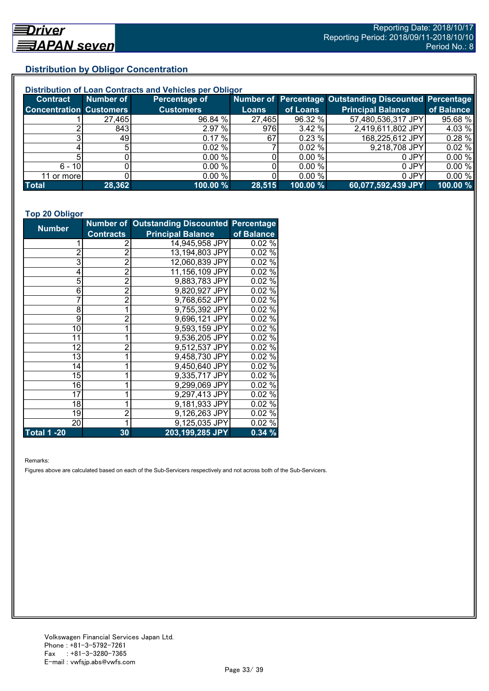## **Distribution by Obligor Concentration**

| Distribution of Loan Contracts and Vehicles per Obligor |           |                  |        |          |                                                        |            |  |
|---------------------------------------------------------|-----------|------------------|--------|----------|--------------------------------------------------------|------------|--|
| <b>Contract</b>                                         | Number of | Percentage of    |        |          | Number of Percentage Outstanding Discounted Percentage |            |  |
| <b>Concentration Customers</b>                          |           | <b>Customers</b> | Loans  | of Loans | <b>Principal Balance</b>                               | of Balance |  |
|                                                         | 27,465    | 96.84 %          | 27,465 | 96.32 %  | 57,480,536,317 JPY                                     | 95.68 %    |  |
|                                                         | 843       | 2.97 %           | 976    | 3.42 %   | 2,419,611,802 JPY                                      | 4.03 %     |  |
|                                                         | 491       | $0.17 \%$        | 67     | 0.23%    | 168,225,612 JPY                                        | 0.28%      |  |
|                                                         |           | $0.02 \%$        |        | 0.02%    | 9,218,708 JPY                                          | 0.02%      |  |
|                                                         |           | 0.00%            |        | 0.00 %   | 0 JPY                                                  | 0.00%      |  |
| $6 - 10$                                                |           | 0.00 %           |        | 0.00 %   | 0 JPY                                                  | 0.00%      |  |
| 11 or more                                              |           | 0.00 %           |        | 0.00 %   | 0 JPY                                                  | 0.00%      |  |
| <b>Total</b>                                            | 28,362    | 100.00 %         | 28,515 | 100.00 % | 60,077,592,439 JPY                                     | 100.00 %   |  |

#### **Top 20 Obligor**

| <b>Number</b>      |                  | Number of Outstanding Discounted Percentage |            |
|--------------------|------------------|---------------------------------------------|------------|
|                    | <b>Contracts</b> | <b>Principal Balance</b>                    | of Balance |
| 1                  | 2                | 14,945,958 JPY                              | 0.02%      |
| $\overline{2}$     | $\overline{2}$   | 13,194,803 JPY                              | 0.02%      |
| 3                  | $\bar{2}$        | 12,060,839 JPY                              | 0.02%      |
| 4                  | $\overline{2}$   | 11,156,109 JPY                              | 0.02%      |
| 5                  | $\overline{2}$   | 9,883,783 JPY                               | 0.02%      |
| 6                  | $\overline{2}$   | 9,820,927 JPY                               | 0.02%      |
| 7                  | $\overline{2}$   | 9,768,652 JPY                               | 0.02%      |
| 8                  | 1                | 9,755,392 JPY                               | 0.02%      |
| 9                  | $\overline{2}$   | 9,696,121 JPY                               | 0.02%      |
| 10                 | 1                | 9,593,159 JPY                               | 0.02%      |
| 11                 | 1                | 9,536,205 JPY                               | $0.02\%$   |
| 12                 | $\overline{2}$   | 9,512,537 JPY                               | $0.02\%$   |
| 13                 | 1                | 9,458,730 JPY                               | 0.02%      |
| 14                 |                  | 9,450,640 JPY                               | 0.02%      |
| 15                 | 1                | 9,335,717 JPY                               | 0.02%      |
| 16                 |                  | 9,299,069 JPY                               | 0.02%      |
| 17                 |                  | 9,297,413 JPY                               | 0.02%      |
| 18                 |                  | 9,181,933 JPY                               | 0.02%      |
| 19                 | $\overline{2}$   | 9,126,263 JPY                               | 0.02%      |
| 20                 | 1                | 9,125,035 JPY                               | 0.02%      |
| <b>Total 1 -20</b> | 30               | 203,199,285 JPY                             | 0.34%      |

Remarks:

Figures above are calculated based on each of the Sub-Servicers respectively and not across both of the Sub-Servicers.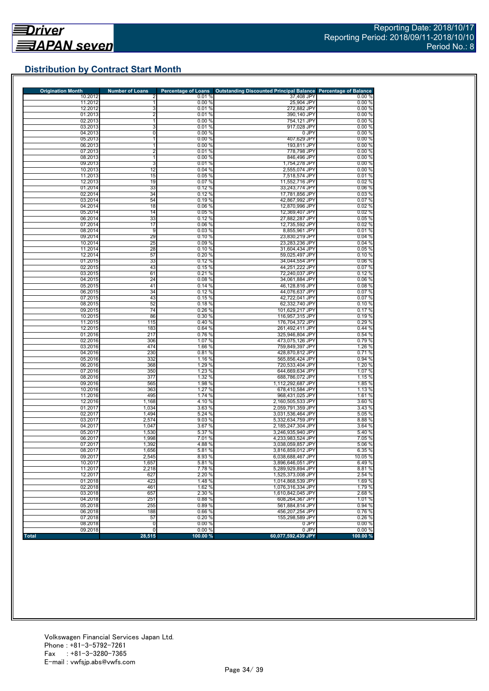## **Distribution by Contract Start Month**

| <b>Origination Month</b> | <b>Number of Loans</b> | <b>Percentage of Loans</b> | <b>Outstanding Discounted Principal Balance</b> | <b>Percentage of Balance</b> |
|--------------------------|------------------------|----------------------------|-------------------------------------------------|------------------------------|
| 10.2012<br>11.2012       |                        | 0.01%                      | 37,408 JPY                                      | 0.00%                        |
| 12.2012                  | 1<br>3                 | 0.00%<br>0.01%             | 25,904 JPY<br>272,882 JPY                       | 0.00%<br>0.00%               |
| 01.2013                  | $\overline{2}$         | 0.01%                      | 390,140 JPY                                     | 0.00%                        |
| 02.2013                  | $\mathbf{1}$           | 0.00%                      | 754,121 JPY                                     | 0.00%                        |
| 03.2013                  | 3                      | 0.01%                      | 917,028 JPY                                     | 0.00%                        |
| 04.2013                  | 0                      | 0.00%                      | 0 JPY                                           | 0.00%                        |
| 05.2013                  | 1                      | 0.00%                      | 407,629 JPY                                     | 0.00%                        |
| 06.2013                  | 1                      | 0.00%                      | 193,811 JPY                                     | 0.00%                        |
| 07.2013                  | $\overline{2}$         | 0.01%                      | 778,798 JPY                                     | 0.00%                        |
| 08.2013<br>09.2013       | 1<br>3                 | 0.00%<br>0.01%             | 846,496 JPY<br>1,754,278 JPY                    | 0.00%<br>0.00%               |
| 10.2013                  | 12                     | 0.04%                      | 2,555,074 JPY                                   | 0.00%                        |
| 11.2013                  | 15                     | 0.05%                      | 7,518,574 JPY                                   | 0.01%                        |
| 12.2013                  | 19                     | 0.07%                      | 11,552,716 JPY                                  | 0.02%                        |
| 01.2014                  | 33                     | 0.12%                      | 33,243,774 JPY                                  | 0.06%                        |
| 02.2014                  | 34                     | 0.12%                      | 17,781,856 JPY                                  | 0.03%                        |
| 03.2014                  | 54                     | 0.19%                      | 42,867,992 JPY                                  | 0.07%                        |
| 04.2014                  | 18                     | 0.06%                      | 12,870,996 JPY                                  | 0.02%                        |
| 05.2014                  | 14                     | 0.05%                      | 12,369,407 JPY                                  | 0.02%                        |
| 06.2014<br>07.2014       | 33<br>17               | 0.12%<br>0.06 %            | 27,882,287 JPY<br>12,735,592 JPY                | 0.05%<br>0.02%               |
| 08.2014                  | 9                      | 0.03%                      | 8,855,961 JPY                                   | 0.01%                        |
| 09.2014                  | 29                     | 0.10%                      | 23,830,219 JPY                                  | 0.04%                        |
| 10.2014                  | 25                     | 0.09%                      | 23,283,236 JPY                                  | 0.04%                        |
| 11.2014                  | 28                     | 0.10%                      | 31,604,434 JPY                                  | 0.05%                        |
| 12.2014                  | 57                     | 0.20%                      | 59,025,497 JPY                                  | 0.10%                        |
| 01.2015                  | 33                     | 0.12%                      | 34,044,554 JPY                                  | 0.06%                        |
| 02.2015                  | 43                     | 0.15%                      | 44,251,222 JPY                                  | 0.07%                        |
| 03.2015                  | 61                     | 0.21%                      | 72,240,037 JPY                                  | 0.12%                        |
| 04.2015<br>05.2015       | 24<br>41               | 0.08%<br>0.14%             | 34,061,884 JPY<br>46,128,816 JPY                | 0.06%<br>0.08%               |
| 06.2015                  | 34                     | 0.12%                      | 44,076,637 JPY                                  | 0.07%                        |
| 07.2015                  | 43                     | 0.15%                      | 42,722,041 JPY                                  | 0.07%                        |
| 08.2015                  | 52                     | 0.18%                      | 62,332,740 JPY                                  | 0.10%                        |
| 09.2015                  | 74                     | 0.26 %                     | 101,629,217 JPY                                 | 0.17%                        |
| 10.2015                  | 86                     | 0.30%                      | 116,957,315 JPY                                 | 0.19%                        |
| 11.2015                  | 115                    | 0.40%                      | 176,704,372 JPY                                 | 0.29%                        |
| 12.2015                  | 183                    | 0.64%                      | 261,492,411 JPY                                 | 0.44%                        |
| 01.2016<br>02.2016       | 217<br>306             | 0.76%<br>1.07 %            | 325,946,804 JPY<br>473,075,126 JPY              | 0.54%<br>0.79%               |
| 03.2016                  | 474                    | 1.66 %                     | 759,849,397 JPY                                 | 1.26 %                       |
| 04.2016                  | 230                    | 0.81%                      | 428,870,812 JPY                                 | 0.71%                        |
| 05.2016                  | 332                    | 1.16 %                     | 565,856,424 JPY                                 | 0.94 %                       |
| 06.2016                  | 368                    | 1.29 %                     | 720,533,404 JPY                                 | 1.20 %                       |
| 07.2016                  | 350                    | 1.23%                      | 644,669,634 JPY                                 | 1.07 %                       |
| 08.2016                  | 377                    | 1.32 %                     | 688,786,072 JPY                                 | 1.15 %                       |
| 09.2016                  | 565                    | 1.98 %                     | 1,112,292,687 JPY                               | 1.85 %                       |
| 10.2016                  | 363<br>495             | 1.27 %                     | 678,410,584 JPY                                 | 1.13 %                       |
| 11.2016<br>12.2016       | 1,168                  | 1.74 %<br>4.10 %           | 968,431,025 JPY<br>2,160,505,533 JPY            | 1.61%<br>3.60 %              |
| 01.2017                  | 1,034                  | 3.63%                      | 2,059,791,359 JPY                               | 3.43 %                       |
| 02.2017                  | 1,494                  | 5.24 %                     | 3,031,536,464 JPY                               | 5.05 %                       |
| 03.2017                  | 2,574                  | 9.03%                      | 5,332,634,759 JPY                               | 8.88%                        |
| 04.2017                  | 1,047                  | 3.67 %                     | 2,185,247,304 JPY                               | 3.64 %                       |
| 05.2017                  | 1,530                  | 5.37 %                     | 3,246,935,940 JPY                               | 5.40 %                       |
| 06.2017                  | 1,998                  | 7.01 %                     | 4,233,983,524 JPY                               | 7.05 %                       |
| 07.2017<br>08.2017       | 1,392<br>1,656         | 4.88%<br>5.81 %            | 3,038,059,857 JPY<br>3,816,859,012 JPY          | 5.06 %<br>6.35%              |
|                          |                        |                            |                                                 |                              |
| 09.2017<br>10.2017       | 2,545<br>1,657         | 8.93%<br>5.81%             | $6,038,688,467$ JPY<br>3.896.646.051 JPY        | 10.05 %<br>6.49%             |
| 11.2017                  | 2,218                  | 7.78 %                     | 5,289,929,894 JPY                               | 8.81%                        |
| 12.2017                  | 627                    | 2.20 %                     | 1,525,373,008 JPY                               | 2.54 %                       |
| 01.2018                  | 423                    | 1.48%                      | 1,014,868,539 JPY                               | 1.69%                        |
| 02.2018                  | 461                    | 1.62 %                     | 1,076,316,334 JPY                               | 1.79%                        |
| 03.2018                  | 657                    | 2.30 %                     | 1,610,842,045 JPY                               | 2.68%                        |
| 04.2018                  | 251                    | 0.88%                      | 608,264,367 JPY                                 | 1.01%                        |
| 05.2018                  | 255                    | 0.89%                      | 561,884,814 JPY                                 | 0.94 %                       |
| 06.2018<br>07.2018       | 188<br>57              | 0.66 %<br>0.20%            | 456,207,254 JPY<br>155,298,589 JPY              | 0.76%<br>0.26%               |
| 08.2018                  | $\overline{0}$         | 0.00%                      | 0 JPY                                           | 0.00%                        |
| 09.2018                  | 0                      | 0.00%                      | 0 JPY                                           | 0.00%                        |
| <b>Total</b>             | 28,515                 | 100.00%                    | 60,077,592,439 JPY                              | 100.00 %                     |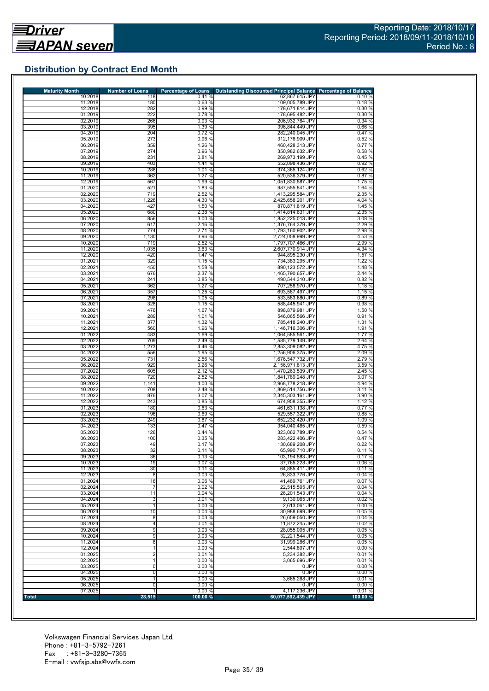## **Distribution by Contract End Month**

| <b>Maturity Month</b> | <b>Number of Loans</b>  | <b>Percentage of Loans</b> | <b>Outstanding Discounted Principal Balance Percentage of Balance</b> |                 |
|-----------------------|-------------------------|----------------------------|-----------------------------------------------------------------------|-----------------|
| 10.2018<br>11.2018    | 118<br>180              | 0.41%<br>0.63%             | 62,867,615 JPY<br>109,005,789 JPY                                     | 0.10%<br>0.18%  |
| 12.2018               | 282                     | 0.99%                      | 178,671,814 JPY                                                       | 0.30 %          |
| 01.2019               | 222                     | 0.78%                      | 178,695,482 JPY                                                       | 0.30%           |
| 02.2019               | 266                     | 0.93 %                     | 206,932,784 JPY                                                       | 0.34 %          |
| 03.2019               | 395                     | 1.39 %                     | 396.844.449 JPY                                                       | 0.66%           |
| 04.2019               | 204                     | 0.72%                      | 282.240.045 JPY                                                       | 0.47%           |
| 05.2019               | 273                     | 0.96%                      | 312,176,909 JPY                                                       | 0.52%           |
| 06.2019               | 359                     | 1.26 %                     | 460,428,313 JPY                                                       | 0.77%           |
| 07.2019               | 274                     | 0.96 %                     | 350,982,632 JPY                                                       | 0.58%           |
| 08.2019               | 231                     | 0.81%                      | 269,973,199 JPY                                                       | 0.45%           |
| 09.2019               | 403                     | 1.41 %                     | 552,098,436 JPY                                                       | 0.92%           |
| 10.2019               | 288                     | 1.01 %                     | 374,365,124 JPY                                                       | 0.62%           |
| 11.2019               | 362                     | 1.27 %                     | 520,536,379 JPY                                                       | 0.87%           |
| 12.2019               | 567                     | 1.99 %                     | 1,051,830,587 JPY                                                     | 1.75%           |
| 01.2020               | 521                     | 1.83 %                     | 987,555,841 JPY                                                       | 1.64 %          |
| 02.2020               | 719                     | 2.52 %                     | 1,413,295,584 JPY                                                     | 2.35 %          |
| 03.2020               | 1,226                   | 4.30 %                     | 2,425,658,201 JPY                                                     | 4.04 %          |
| 04.2020               | 427                     | 1.50 %                     | 870,871,819 JPY                                                       | 1.45 %          |
| 05.2020               | 680                     | 2.38 %                     | 1,414,814,631 JPY                                                     | 2.35 %          |
| 06.2020               | 856                     | 3.00 %                     | 1,852,225,013 JPY                                                     | 3.08%           |
| 07.2020               | 617                     | 2.16 %                     | 1,376,764,379 JPY                                                     | 2.29 %          |
|                       |                         |                            | 1,793,160,902 JPY                                                     |                 |
| 08.2020               | 774                     | 2.71 %                     |                                                                       | 2.98 %          |
| 09.2020               | 1,130                   | 3.96 %                     | 2,724,058,999 JPY                                                     | 4.53 %          |
| 10.2020               | 719                     | 2.52 %                     | 1,797,707,466 JPY                                                     | 2.99%           |
| 11.2020               | 1,035                   | 3.63%                      | 2,607,770,914 JPY                                                     | 4.34 %          |
| 12.2020               | 420                     | 1.47 %                     | 944,895,230 JPY                                                       | 1.57 %          |
| 01.2021               | 329                     | 1.15 %                     | 734,383,295 JPY                                                       | 1.22 %          |
| 02.2021               | 450                     | 1.58 %                     | 890,123,572 JPY                                                       | 1.48 %          |
| 03.2021               | 676                     | 2.37 %                     | 1,465,790,657 JPY                                                     | 2.44 %          |
| 04.2021               | 241                     | 0.85 %                     | 490,544,310 JPY                                                       | 0.82%           |
| 05.2021               | 362                     | 1.27%                      | 707,258,970 JPY                                                       | 1.18 %          |
| 06.2021               | 357                     | 1.25 %                     | 693,567,497 JPY                                                       | 1.15 %          |
| 07.2021               | 298                     | 1.05 %                     | 533,583,680 JPY                                                       | 0.89%           |
| 08.2021               | 328                     | 1.15 %                     | 588,445,941 JPY                                                       | 0.98%           |
| 09.2021               | 476                     | 1.67 %                     | 898,879,981 JPY                                                       | 1.50 %          |
| 10.2021               | 289                     | 1.01 %                     | 546,065,566 JPY                                                       | 0.91%           |
| 11.2021               | 377                     | 1.32 %                     | 785.418.240 JPY                                                       | 1.31 %          |
| 12.2021               | 560                     | 1.96 %                     | 1,146,716,306 JPY                                                     | 1.91 %          |
| 01.2022               | 483                     | 1.69 %                     | 1,064,585,561 JPY                                                     | 1.77 %          |
| 02.2022               | 709                     | 2.49%                      | 1,585,779,149 JPY                                                     | 2.64 %          |
| 03.2022               | 1,273                   | 4.46 %                     | 2,853,309,082 JPY                                                     | 4.75 %          |
| 04.2022               | 556                     | 1.95 %                     | 1,256,906,375 JPY                                                     | 2.09 %          |
| 05.2022               | 731                     | 2.56 %                     | 1,676,547,732 JPY                                                     | 2.79 %          |
| 06.2022               | 929                     | 3.26 %                     | 2,156,971,813 JPY                                                     | 3.59 %          |
| 07.2022<br>08.2022    | 605                     | 2.12 %<br>2.52 %           | 1,470,263,539 JPY<br>1,841,789,248 JPY                                | 2.45 %          |
| 09.2022               | 720<br>1,141            | 4.00 %                     |                                                                       | 3.07%<br>4.94 % |
| 10.2022               | 708                     | 2.48 %                     | 2,968,778,218 JPY<br>1,869,514,756 JPY                                | 3.11 %          |
| 11.2022               | 876                     | 3.07 %                     | 2,345,303,161 JPY                                                     | 3.90 %          |
| 12.2022               | 243                     | 0.85%                      | 674,958,355 JPY                                                       | 1.12 %          |
| 01.2023               | 180                     | 0.63%                      | 461,631,138 JPY                                                       | 0.77%           |
| 02.2023               | 196                     | 0.69%                      | 529,557,322 JPY                                                       | 0.88%           |
| 03.2023               | 249                     | 0.87%                      | 652,232,420 JPY                                                       | 1.09%           |
| 04.2023               |                         |                            |                                                                       |                 |
| 05.2023               | 133<br>126              | 0.47 %<br>0.44%            | 354,040,485 JPY<br>323,062,789 JPY                                    | 0.59%<br>0.54%  |
| 06.2023               | 100                     | 0.35%                      | 283.422.406 JPY                                                       | 0.47%           |
| 07.2023               | 49                      | 0.17%                      | 130.689.208 JPY                                                       | 0.22%           |
| 08.2023               | 32                      | 0.11%                      | 65,990,710 JPY                                                        | 0.11%           |
| 09.2023               | 36                      | $0.13\%$                   | 103,194,583 JPY                                                       | 0.17%           |
| 10.2023               | 19                      | 0.07%                      | 37,765,228 JPY                                                        | 0.06%           |
| 11.2023               | 30                      | 0.11%                      | 64,885,411 JPY                                                        | 0.11%           |
| 12.2023               | 8                       | 0.03%                      | 26,833,776 JPY                                                        | 0.04%           |
| 01.2024               | 16                      | 0.06%                      | 41,489,761 JPY                                                        | 0.07%           |
| 02.2024               | 7                       | 0.02%                      | 22,515,595 JPY                                                        | 0.04%           |
| 03.2024               | 11                      | 0.04%                      | 26,201,543 JPY                                                        | 0.04%           |
| 04.2024               | 3                       | 0.01%                      | 9,130,065 JPY                                                         | 0.02%           |
| 05.2024               | $\mathbf{1}$            | 0.00%                      | 2.613.061 JPY                                                         | 0.00%           |
| 06.2024               | 10                      | 0.04%                      | 30.988.699 JPY                                                        | 0.05%           |
| 07.2024               | 8                       | 0.03%                      | 26,659,050 JPY                                                        | 0.04%           |
| 08.2024               | 4                       | 0.01%                      | 11,872,245 JPY                                                        |                 |
|                       |                         |                            |                                                                       | 0.02%           |
| 09.2024               | 9                       | 0.03%                      | 28,055,095 JPY                                                        | 0.05%           |
| 10.2024               | 9                       | 0.03%                      | 32,221,544 JPY                                                        | 0.05%           |
| 11.2024               | 8                       | 0.03%                      | 31,999,286 JPY                                                        | 0.05%           |
| 12.2024               | 1                       | 0.00%                      | 2,544,897 JPY                                                         | 0.00%           |
| 01.2025               | $\overline{\mathbf{c}}$ | 0.01%                      | 5,234,382 JPY                                                         | 0.01%           |
| 02.2025               | 1                       | 0.00%                      | 3,065,696 JPY                                                         | 0.01%           |
| 03.2025               | 0                       | 0.00%                      | 0 JPY                                                                 | 0.00%           |
| 04.2025               | 0                       | 0.00%                      | 0 JPY                                                                 | 0.00%           |
| 05.2025               |                         | 0.00%                      | 3,665,268 JPY                                                         | 0.01%           |
|                       |                         |                            |                                                                       | 0.00%           |
| 06.2025<br>07.2025    | 0                       | 0.00%<br>0.00 %            | 0 JPY<br>4,117,236 JPY                                                | 0.01%           |

Volkswagen Financial Services Japan Ltd. Phone : +81-3-5792-7261 Fax : +81-3-3280-7365 E-mail : vwfsjp.abs@vwfs.com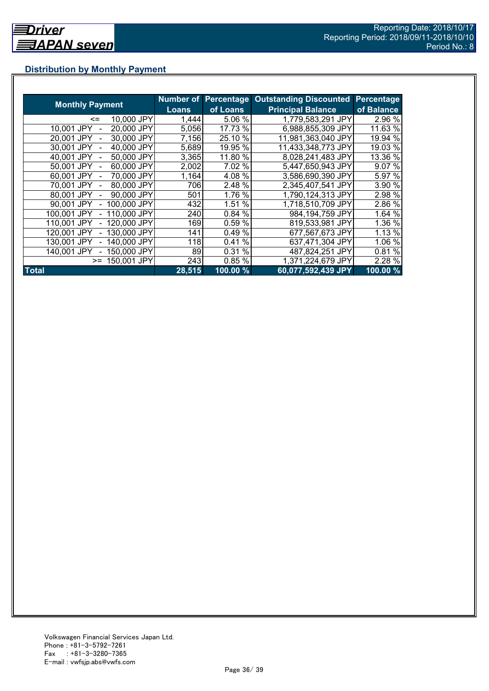## **Distribution by Monthly Payment**

|                            |              | <b>Number of Percentage</b> | <b>Outstanding Discounted</b> | <b>Percentage</b> |
|----------------------------|--------------|-----------------------------|-------------------------------|-------------------|
| <b>Monthly Payment</b>     | <b>Loans</b> | of Loans                    | <b>Principal Balance</b>      | of Balance        |
| 10,000 JPY<br>$\leq$       | 1,444        | 5.06 %                      | 1,779,583,291 JPY             | 2.96 %            |
| 20,000 JPY<br>10.001 JPY   | 5,056        | 17.73 %                     | 6,988,855,309 JPY             | 11.63 %           |
| 30,000 JPY<br>20.001 JPY   | 7,156        | 25.10 %                     | 11,981,363,040 JPY            | 19.94 %           |
| 40,000 JPY<br>30,001 JPY   | 5,689        | 19.95 %                     | 11,433,348,773 JPY            | 19.03 %           |
| 50,000 JPY<br>40,001 JPY   | 3,365        | 11.80 %                     | 8,028,241,483 JPY             | 13.36 %           |
| 60,000 JPY<br>50,001 JPY   | 2,002        | 7.02 %                      | 5,447,650,943 JPY             | 9.07 %            |
| 70,000 JPY<br>60.001 JPY   | 1,164        | 4.08 %                      | 3,586,690,390 JPY             | 5.97 %            |
| 80,000 JPY<br>70.001 JPY   | 706          | 2.48 %                      | 2,345,407,541 JPY             | 3.90 %            |
| 90,000 JPY<br>80,001 JPY   | 501          | 1.76 %                      | 1,790,124,313 JPY             | 2.98 %            |
| 100,000 JPY<br>90.001 JPY  | 432          | 1.51 %                      | 1,718,510,709 JPY             | 2.86 %            |
| 110,000 JPY<br>100,001 JPY | 240          | 0.84 %                      | 984,194,759 JPY               | 1.64 %            |
| 120,000 JPY<br>110,001 JPY | 169          | 0.59%                       | 819,533,981 JPY               | 1.36 %            |
| 130,000 JPY<br>120.001 JPY | 141          | 0.49%                       | 677,567,673 JPY               | 1.13 %            |
| 140,000 JPY<br>130.001 JPY | 118          | %<br>0.41                   | 637,471,304 JPY               | 1.06 %            |
| 150,000 JPY<br>140.001 JPY | 89           | 0.31 %                      | 487,824,251 JPY               | 0.81%             |
| 150,001 JPY<br>$>=$        | 243          | 0.85%                       | 1,371,224,679 JPY             | 2.28 %            |
| <b>Total</b>               | 28,515       | 100.00 %                    | 60,077,592,439 JPY            | $100.00\%$        |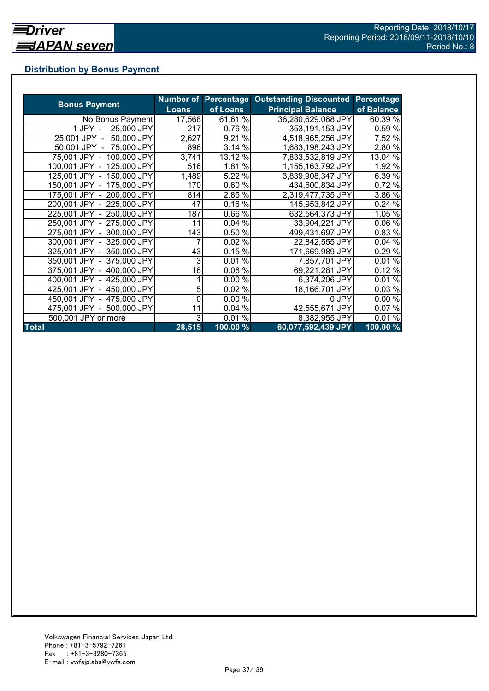## **Distribution by Bonus Payment**

| <b>Bonus Payment</b>       |              |          | Number of Percentage Outstanding Discounted | Percentage |
|----------------------------|--------------|----------|---------------------------------------------|------------|
|                            | <b>Loans</b> | of Loans | <b>Principal Balance</b>                    | of Balance |
| No Bonus Payment           | 17,568       | 61.61 %  | 36,280,629,068 JPY                          | 60.39 %    |
| 25,000 JPY<br>1 JPY -      | 217          | 0.76 %   | 353,191,153 JPY                             | 0.59 %     |
| 50,000 JPY<br>25,001 JPY - | 2,627        | 9.21 %   | 4,518,965,256 JPY                           | 7.52 %     |
| 50,001 JPY - 75,000 JPY    | 896          | 3.14 %   | 1,683,198,243 JPY                           | 2.80 %     |
| 75,001 JPY - 100,000 JPY   | 3,741        | 13.12 %  | 7,833,532,819 JPY                           | 13.04 %    |
| 100,001 JPY - 125,000 JPY  | 516          | 1.81 %   | 1,155,163,792 JPY                           | 1.92 %     |
| 125,001 JPY - 150,000 JPY  | 1,489        | 5.22 %   | 3,839,908,347 JPY                           | 6.39 %     |
| 150,001 JPY - 175,000 JPY  | 170          | 0.60 %   | 434,600,834 JPY                             | 0.72 %     |
| 175,001 JPY - 200,000 JPY  | 814          | 2.85 %   | 2,319,477,735 JPY                           | 3.86 %     |
| 200,001 JPY - 225,000 JPY  | 47           | 0.16%    | 145,953,842 JPY                             | 0.24%      |
| 225,001 JPY - 250,000 JPY  | 187          | 0.66%    | 632,564,373 JPY                             | 1.05 %     |
| 250,001 JPY - 275,000 JPY  | 11           | 0.04%    | 33,904,221 JPY                              | 0.06 %     |
| 275,001 JPY - 300,000 JPY  | 143          | 0.50 %   | 499,431,697 JPY                             | 0.83 %     |
| 300,001 JPY - 325,000 JPY  | 7            | 0.02 %   | 22,842,555 JPY                              | 0.04%      |
| 325,001 JPY - 350,000 JPY  | 43           | 0.15%    | 171,669,989 JPY                             | 0.29 %     |
| 350,001 JPY - 375,000 JPY  | 3            | 0.01%    | 7,857,701 JPY                               | 0.01%      |
| 375,001 JPY - 400,000 JPY  | 16           | 0.06 %   | 69,221,281 JPY                              | 0.12%      |
| 400,001 JPY - 425,000 JPY  |              | 0.00 %   | 6,374,206 JPY                               | 0.01%      |
| 425,001 JPY - 450,000 JPY  | 5            | 0.02%    | 18,166,701 JPY                              | 0.03%      |
| 450,001 JPY - 475,000 JPY  | 0            | 0.00 %   | 0 JPY                                       | 0.00%      |
| 475,001 JPY - 500,000 JPY  | 11           | 0.04%    | 42,555,671 JPY                              | 0.07%      |
| 500,001 JPY or more        | 3            | 0.01%    | 8,382,955 JPY                               | 0.01%      |
| <b>Total</b>               | 28,515       | 100.00 % | 60,077,592,439 JPY                          | 100.00 %   |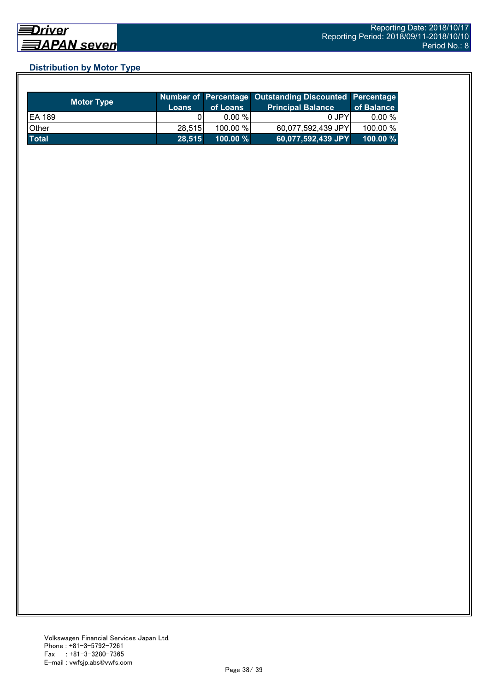## **Distribution by Motor Type**

| <b>Motor Type</b> | Loans  | of Loans    | Number of Percentage Outstanding Discounted Percentage<br><b>Principal Balance</b> | of Balance  |
|-------------------|--------|-------------|------------------------------------------------------------------------------------|-------------|
| <b>EA 189</b>     |        | $0.00 \%$   | 0 JPY                                                                              | 0.00 %      |
| Other             | 28.515 | 100.00 %    | 60,077,592,439 JPY                                                                 | 100.00 %    |
| <b>Total</b>      | 28.515 | $100.00 \%$ | 60,077,592,439 JPY                                                                 | $100.00 \%$ |